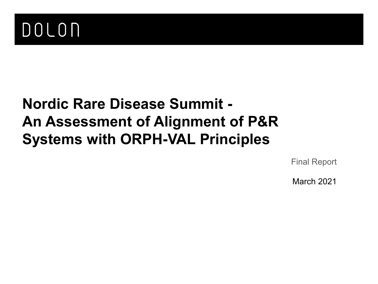

# **Nordic Rare Disease Summit - An Assessment of Alignment of P&R Systems with ORPH-VAL Principles**

Final Report

March 2021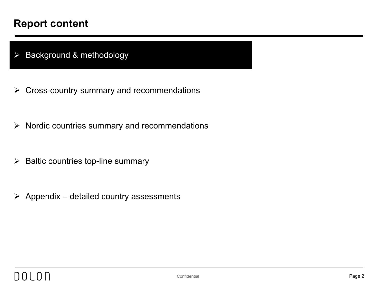#### **Report content**

 $\triangleright$  Background & methodology

- $\triangleright$  Cross-country summary and recommendations
- $\triangleright$  Nordic countries summary and recommendations
- $\triangleright$  Baltic countries top-line summary
- $\triangleright$  Appendix detailed country assessments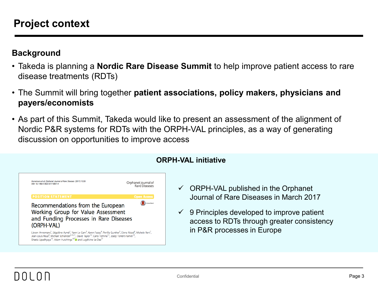#### **Background**

- Takeda is planning a **Nordic Rare Disease Summit** to help improve patient access to rare disease treatments (RDTs)
- The Summit will bring together **patient associations, policy makers, physicians and payers/economists**
- As part of this Summit, Takeda would like to present an assessment of the alignment of Nordic P&R systems for RDTs with the ORPH-VAL principles, as a way of generating discussion on opportunities to improve access



#### **ORPH-VAL initiative**

- $\checkmark$  ORPH-VAL published in the Orphanet Journal of Rare Diseases in March 2017
- $\checkmark$  9 Principles developed to improve patient access to RDTs through greater consistency in P&R processes in Europe

## DOL OD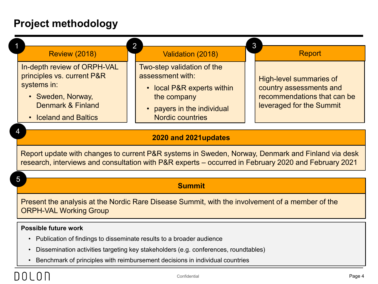### **Project methodology**

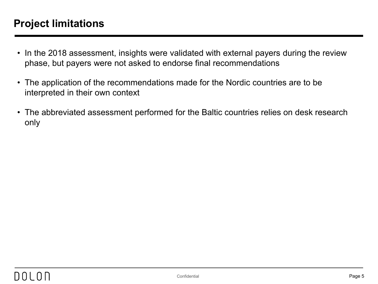### **Project limitations**

- In the 2018 assessment, insights were validated with external payers during the review phase, but payers were not asked to endorse final recommendations
- The application of the recommendations made for the Nordic countries are to be interpreted in their own context
- The abbreviated assessment performed for the Baltic countries relies on desk research only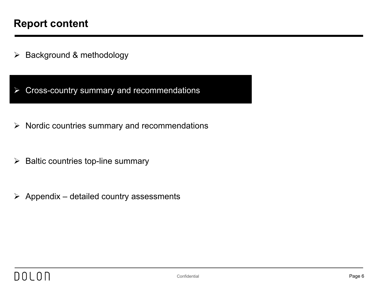$\triangleright$  Background & methodology

 $\triangleright$  Cross-country summary and recommendations

- $\triangleright$  Nordic countries summary and recommendations
- $\triangleright$  Baltic countries top-line summary
- $\triangleright$  Appendix detailed country assessments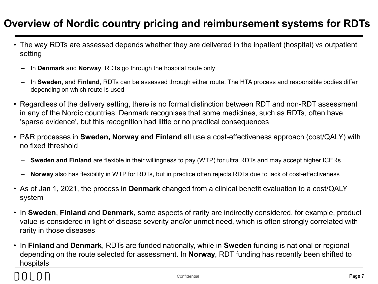### **Overview of Nordic country pricing and reimbursement systems for RDTs**

- The way RDTs are assessed depends whether they are delivered in the inpatient (hospital) vs outpatient setting
	- In **Denmark** and **Norway**, RDTs go through the hospital route only
	- In **Sweden**, and **Finland**, RDTs can be assessed through either route. The HTA process and responsible bodies differ depending on which route is used
- Regardless of the delivery setting, there is no formal distinction between RDT and non-RDT assessment in any of the Nordic countries. Denmark recognises that some medicines, such as RDTs, often have 'sparse evidence', but this recognition had little or no practical consequences
- P&R processes in **Sweden, Norway and Finland** all use a cost-effectiveness approach (cost/QALY) with no fixed threshold
	- **Sweden and Finland** are flexible in their willingness to pay (WTP) for ultra RDTs and may accept higher ICERs
	- **Norway** also has flexibility in WTP for RDTs, but in practice often rejects RDTs due to lack of cost-effectiveness
- As of Jan 1, 2021, the process in **Denmark** changed from a clinical benefit evaluation to a cost/QALY system
- In **Sweden**, **Finland** and **Denmark**, some aspects of rarity are indirectly considered, for example, product value is considered in light of disease severity and/or unmet need, which is often strongly correlated with rarity in those diseases
- In **Finland** and **Denmark**, RDTs are funded nationally, while in **Sweden** funding is national or regional depending on the route selected for assessment. In **Norway**, RDT funding has recently been shifted to hospitals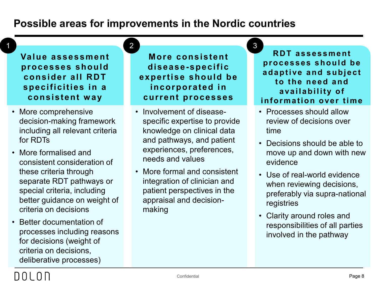#### **Possible areas for improvements in the Nordic countries**

2

**Value assessment processes should consider all RDT specificities in a consistent way**

1

- More comprehensive decision-making framework including all relevant criteria for RDTs
- More formalised and consistent consideration of these criteria through separate RDT pathways or special criteria, including better guidance on weight of criteria on decisions
- Better documentation of processes including reasons for decisions (weight of criteria on decisions, deliberative processes)

**More consistent disease-specific expertise should be incorporated in current processes**

- Involvement of diseasespecific expertise to provide knowledge on clinical data and pathways, and patient experiences, preferences, needs and values
- More formal and consistent integration of clinician and patient perspectives in the appraisal and decisionmaking

#### **RDT assessment processes should be adaptive and subject to the need and availability of information over time**

3

- Processes should allow review of decisions over time
- Decisions should be able to move up and down with new evidence
- Use of real-world evidence when reviewing decisions, preferably via supra-national registries
- Clarity around roles and responsibilities of all parties involved in the pathway

## $1)$  ()  $1$  ()  $1$  1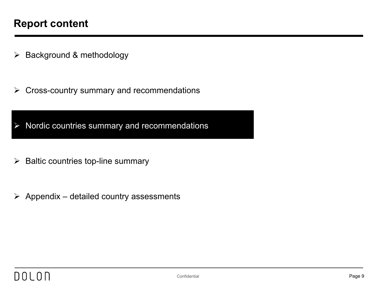$\triangleright$  Background & methodology

 $\triangleright$  Cross-country summary and recommendations

 $\triangleright$  Nordic countries summary and recommendations

- $\triangleright$  Baltic countries top-line summary
- $\triangleright$  Appendix detailed country assessments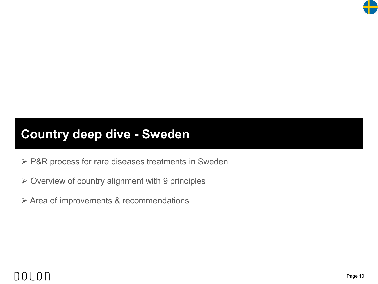

## **Country deep dive - Sweden**

- ▶ P&R process for rare diseases treatments in Sweden
- $\triangleright$  Overview of country alignment with 9 principles
- Area of improvements & recommendations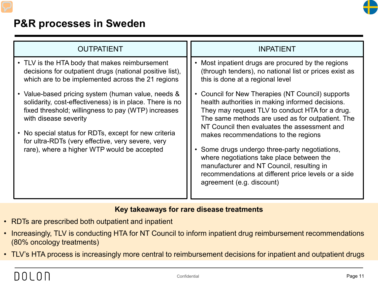

### **P&R processes in Sweden**

| <b>OUTPATIENT</b>                                                                                                                                                                                                                                                                                                                                                                                                                                                                                                              | <b>INPATIENT</b>                                                                                                                                                                                                                                                                                                                                                                                                                                                                                                                                                                                                                                                                                             |
|--------------------------------------------------------------------------------------------------------------------------------------------------------------------------------------------------------------------------------------------------------------------------------------------------------------------------------------------------------------------------------------------------------------------------------------------------------------------------------------------------------------------------------|--------------------------------------------------------------------------------------------------------------------------------------------------------------------------------------------------------------------------------------------------------------------------------------------------------------------------------------------------------------------------------------------------------------------------------------------------------------------------------------------------------------------------------------------------------------------------------------------------------------------------------------------------------------------------------------------------------------|
| • TLV is the HTA body that makes reimbursement<br>decisions for outpatient drugs (national positive list),<br>which are to be implemented across the 21 regions<br>• Value-based pricing system (human value, needs &<br>solidarity, cost-effectiveness) is in place. There is no<br>fixed threshold; willingness to pay (WTP) increases<br>with disease severity<br>• No special status for RDTs, except for new criteria<br>for ultra-RDTs (very effective, very severe, very<br>rare), where a higher WTP would be accepted | Most inpatient drugs are procured by the regions<br>(through tenders), no national list or prices exist as<br>this is done at a regional level<br>Council for New Therapies (NT Council) supports<br>$\bullet$<br>health authorities in making informed decisions.<br>They may request TLV to conduct HTA for a drug.<br>The same methods are used as for outpatient. The<br>NT Council then evaluates the assessment and<br>makes recommendations to the regions<br>Some drugs undergo three-party negotiations,<br>$\bullet$<br>where negotiations take place between the<br>manufacturer and NT Council, resulting in<br>recommendations at different price levels or a side<br>agreement (e.g. discount) |

#### **Key takeaways for rare disease treatments**

- RDTs are prescribed both outpatient and inpatient
- Increasingly, TLV is conducting HTA for NT Council to inform inpatient drug reimbursement recommendations (80% oncology treatments)
- TLV's HTA process is increasingly more central to reimbursement decisions for inpatient and outpatient drugs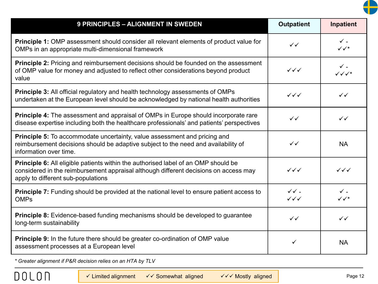

| <b>9 PRINCIPLES - ALIGNMENT IN SWEDEN</b>                                                                                                                                                                        | <b>Outpatient</b>                                  | <b>Inpatient</b>                           |
|------------------------------------------------------------------------------------------------------------------------------------------------------------------------------------------------------------------|----------------------------------------------------|--------------------------------------------|
| <b>Principle 1:</b> OMP assessment should consider all relevant elements of product value for<br>OMPs in an appropriate multi-dimensional framework                                                              | $\checkmark$                                       | $\checkmark$ -<br>$\checkmark\checkmark^*$ |
| Principle 2: Pricing and reimbursement decisions should be founded on the assessment<br>of OMP value for money and adjusted to reflect other considerations beyond product<br>value                              | $\checkmark\checkmark$                             | $\checkmark$ -<br>$\sqrt{\sqrt{x}}$        |
| <b>Principle 3:</b> All official regulatory and health technology assessments of OMPs<br>undertaken at the European level should be acknowledged by national health authorities                                  | $\checkmark\checkmark$                             | $\checkmark$                               |
| Principle 4: The assessment and appraisal of OMPs in Europe should incorporate rare<br>disease expertise including both the healthcare professionals' and patients' perspectives                                 | $\checkmark$                                       | $\checkmark$                               |
| <b>Principle 5:</b> To accommodate uncertainty, value assessment and pricing and<br>reimbursement decisions should be adaptive subject to the need and availability of<br>information over time.                 | $\checkmark$                                       | <b>NA</b>                                  |
| Principle 6: All eligible patients within the authorised label of an OMP should be<br>considered in the reimbursement appraisal although different decisions on access may<br>apply to different sub-populations | $\checkmark\checkmark$                             | $\checkmark\checkmark$                     |
| <b>Principle 7:</b> Funding should be provided at the national level to ensure patient access to<br><b>OMPs</b>                                                                                                  | $\checkmark\checkmark$ .<br>$\checkmark\checkmark$ | $\checkmark$ .<br>$\checkmark\checkmark^*$ |
| <b>Principle 8:</b> Evidence-based funding mechanisms should be developed to guarantee<br>long-term sustainability                                                                                               | $\checkmark$                                       | $\checkmark$                               |
| <b>Principle 9:</b> In the future there should be greater co-ordination of OMP value<br>assessment processes at a European level                                                                                 | ✓                                                  | <b>NA</b>                                  |

*\* Greater alignment if P&R decision relies on an HTA by TLV*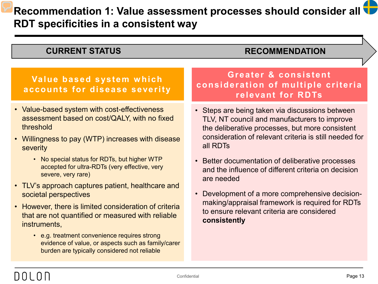## **Recommendation 1: Value assessment processes should consider all RDT specificities in a consistent way**

#### • Value-based system with cost-effectiveness assessment based on cost/QALY, with no fixed threshold • Willingness to pay (WTP) increases with disease severity • No special status for RDTs, but higher WTP accepted for ultra-RDTs (very effective, very severe, very rare) • TLV's approach captures patient, healthcare and societal perspectives • However, there is limited consideration of criteria that are not quantified or measured with reliable instruments, • e.g. treatment convenience requires strong evidence of value, or aspects such as family/carer burden are typically considered not reliable • Steps are being taken via discussions between TLV, NT council and manufacturers to improve the deliberative processes, but more consistent consideration of relevant criteria is still needed for all RDTs • Better documentation of deliberative processes and the influence of different criteria on decision are needed • Development of a more comprehensive decisionmaking/appraisal framework is required for RDTs to ensure relevant criteria are considered **consistently Value based system which accounts for disease severity Greater & consistent consideration of multiple criteria relevant for RDTs CURRENT STATUS RECOMMENDATION**

## 110 L O LI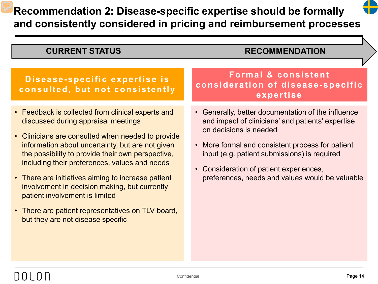## **Recommendation 2: Disease-specific expertise should be formally and consistently considered in pricing and reimbursement processes**



#### **CURRENT STATUS RECOMMENDATION**

#### **Disease-specific expertise is consulted, but not consistently**

- Feedback is collected from clinical experts and discussed during appraisal meetings
- Clinicians are consulted when needed to provide information about uncertainty, but are not given the possibility to provide their own perspective, including their preferences, values and needs
- There are initiatives aiming to increase patient involvement in decision making, but currently patient involvement is limited
- There are patient representatives on TLV board, but they are not disease specific

**Formal & consistent consideration of disease-specific expertise**

- Generally, better documentation of the influence and impact of clinicians' and patients' expertise on decisions is needed
- More formal and consistent process for patient input (e.g. patient submissions) is required
- Consideration of patient experiences, preferences, needs and values would be valuable

## 110 L O LI

Confidential **Page 14**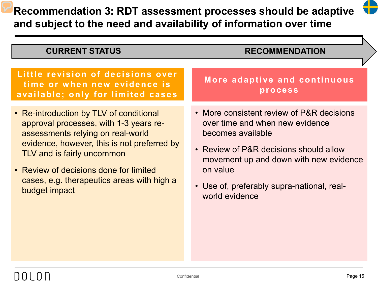**Recommendation 3: RDT assessment processes should be adaptive and subject to the need and availability of information over time**



| <b>CURRENT STATUS</b>                                                                                                                                                                                                                                                                                        | <b>RECOMMENDATION</b>                                                                                                                                                                                                                                             |
|--------------------------------------------------------------------------------------------------------------------------------------------------------------------------------------------------------------------------------------------------------------------------------------------------------------|-------------------------------------------------------------------------------------------------------------------------------------------------------------------------------------------------------------------------------------------------------------------|
|                                                                                                                                                                                                                                                                                                              |                                                                                                                                                                                                                                                                   |
| Little revision of decisions over<br>time or when new evidence is<br>available; only for limited cases                                                                                                                                                                                                       | More adaptive and continuous<br>process                                                                                                                                                                                                                           |
| • Re-introduction by TLV of conditional<br>approval processes, with 1-3 years re-<br>assessments relying on real-world<br>evidence, however, this is not preferred by<br>TLV and is fairly uncommon<br>• Review of decisions done for limited<br>cases, e.g. therapeutics areas with high a<br>budget impact | • More consistent review of P&R decisions<br>over time and when new evidence<br>becomes available<br>• Review of P&R decisions should allow<br>movement up and down with new evidence<br>on value<br>• Use of, preferably supra-national, real-<br>world evidence |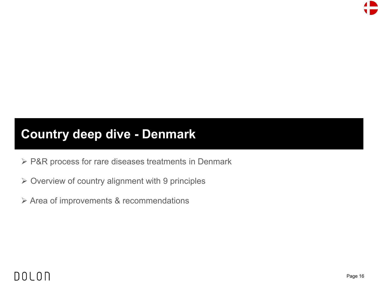

## **Country deep dive - Denmark**

- ▶ P&R process for rare diseases treatments in Denmark
- $\triangleright$  Overview of country alignment with 9 principles
- Area of improvements & recommendations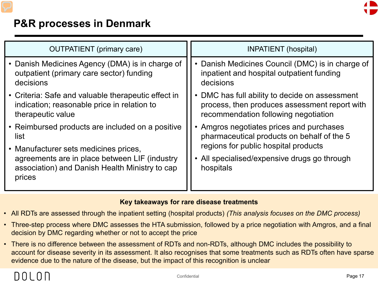

### **P&R processes in Denmark**

| <b>OUTPATIENT</b> (primary care)                                                                                        | INPATIENT (hospital)                                                                                                                  |
|-------------------------------------------------------------------------------------------------------------------------|---------------------------------------------------------------------------------------------------------------------------------------|
| • Danish Medicines Agency (DMA) is in charge of<br>outpatient (primary care sector) funding<br>decisions                | Danish Medicines Council (DMC) is in charge of<br>$\bullet$<br>inpatient and hospital outpatient funding<br>decisions                 |
| • Criteria: Safe and valuable therapeutic effect in<br>indication; reasonable price in relation to<br>therapeutic value | DMC has full ability to decide on assessment<br>process, then produces assessment report with<br>recommendation following negotiation |
| • Reimbursed products are included on a positive<br>list<br>• Manufacturer sets medicines prices,                       | Amgros negotiates prices and purchases<br>pharmaceutical products on behalf of the 5<br>regions for public hospital products          |
| agreements are in place between LIF (industry<br>association) and Danish Health Ministry to cap<br>prices               | All specialised/expensive drugs go through<br>hospitals                                                                               |

#### **Key takeaways for rare disease treatments**

- All RDTs are assessed through the inpatient setting (hospital products) *(This analysis focuses on the DMC process)*
- Three-step process where DMC assesses the HTA submission, followed by a price negotiation with Amgros, and a final decision by DMC regarding whether or not to accept the price
- There is no difference between the assessment of RDTs and non-RDTs, although DMC includes the possibility to account for disease severity in its assessment. It also recognises that some treatments such as RDTs often have sparse evidence due to the nature of the disease, but the impact of this recognition is unclear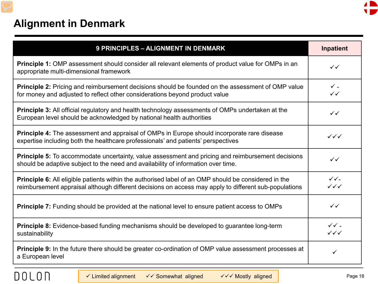

### **Alignment in Denmark**

| 9 PRINCIPLES - ALIGNMENT IN DENMARK                                                                                                                                                                                  | <b>Inpatient</b>                                 |
|----------------------------------------------------------------------------------------------------------------------------------------------------------------------------------------------------------------------|--------------------------------------------------|
| <b>Principle 1:</b> OMP assessment should consider all relevant elements of product value for OMPs in an<br>appropriate multi-dimensional framework                                                                  | $\checkmark$                                     |
| <b>Principle 2:</b> Pricing and reimbursement decisions should be founded on the assessment of OMP value<br>for money and adjusted to reflect other considerations beyond product value                              | $\checkmark$ .<br>$\checkmark$                   |
| <b>Principle 3:</b> All official regulatory and health technology assessments of OMPs undertaken at the<br>European level should be acknowledged by national health authorities                                      | $\checkmark$                                     |
| Principle 4: The assessment and appraisal of OMPs in Europe should incorporate rare disease<br>expertise including both the healthcare professionals' and patients' perspectives                                     | $\checkmark\checkmark$                           |
| <b>Principle 5:</b> To accommodate uncertainty, value assessment and pricing and reimbursement decisions<br>should be adaptive subject to the need and availability of information over time.                        | $\checkmark$                                     |
| <b>Principle 6:</b> All eligible patients within the authorised label of an OMP should be considered in the<br>reimbursement appraisal although different decisions on access may apply to different sub-populations | $\checkmark$<br>$\checkmark\checkmark\checkmark$ |
| <b>Principle 7:</b> Funding should be provided at the national level to ensure patient access to OMPs                                                                                                                | $\checkmark$                                     |
| <b>Principle 8:</b> Evidence-based funding mechanisms should be developed to guarantee long-term<br>sustainability                                                                                                   | $\checkmark$ .<br>$\checkmark\checkmark$         |
| <b>Principle 9:</b> In the future there should be greater co-ordination of OMP value assessment processes at<br>a European level                                                                                     | ✓                                                |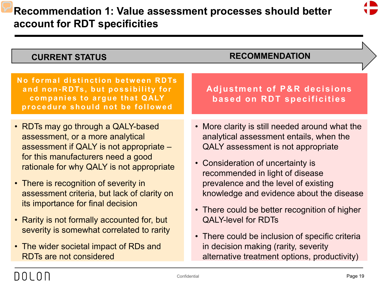## **Recommendation 1: Value assessment processes should better account for RDT specificities**



| <b>CURRENT STATUS</b>                                                                                                                                                                                                                                                                                                                                                                                                                                                                                     | <b>RECOMMENDATION</b>                                                                                                                                                                                                                                                                                                                                                                                                                                                                                                 |
|-----------------------------------------------------------------------------------------------------------------------------------------------------------------------------------------------------------------------------------------------------------------------------------------------------------------------------------------------------------------------------------------------------------------------------------------------------------------------------------------------------------|-----------------------------------------------------------------------------------------------------------------------------------------------------------------------------------------------------------------------------------------------------------------------------------------------------------------------------------------------------------------------------------------------------------------------------------------------------------------------------------------------------------------------|
| No formal distinction between RDTs<br>and non-RDTs, but possibility for<br>companies to argue that QALY<br>procedure should not be followed                                                                                                                                                                                                                                                                                                                                                               | <b>Adjustment of P&amp;R decisions</b><br>based on RDT specificities                                                                                                                                                                                                                                                                                                                                                                                                                                                  |
| • RDTs may go through a QALY-based<br>assessment, or a more analytical<br>assessment if QALY is not appropriate -<br>for this manufacturers need a good<br>rationale for why QALY is not appropriate<br>• There is recognition of severity in<br>assessment criteria, but lack of clarity on<br>its importance for final decision<br>• Rarity is not formally accounted for, but<br>severity is somewhat correlated to rarity<br>• The wider societal impact of RDs and<br><b>RDTs are not considered</b> | • More clarity is still needed around what the<br>analytical assessment entails, when the<br>QALY assessment is not appropriate<br>• Consideration of uncertainty is<br>recommended in light of disease<br>prevalence and the level of existing<br>knowledge and evidence about the disease<br>• There could be better recognition of higher<br><b>QALY-level for RDTs</b><br>• There could be inclusion of specific criteria<br>in decision making (rarity, severity<br>alternative treatment options, productivity) |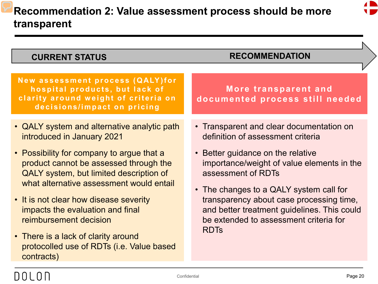

| <b>CURRENT STATUS</b>                                                                                                                                                                                                                                                                                                                                                                                                                                             | <b>RECOMMENDATION</b>                                                                                                                                                                                                                                                                                                                                                                 |
|-------------------------------------------------------------------------------------------------------------------------------------------------------------------------------------------------------------------------------------------------------------------------------------------------------------------------------------------------------------------------------------------------------------------------------------------------------------------|---------------------------------------------------------------------------------------------------------------------------------------------------------------------------------------------------------------------------------------------------------------------------------------------------------------------------------------------------------------------------------------|
| New assessment process (QALY)for<br>hospital products, but lack of<br>clarity around weight of criteria on<br>decisions/impact on pricing                                                                                                                                                                                                                                                                                                                         | More transparent and<br>documented process still needed                                                                                                                                                                                                                                                                                                                               |
| • QALY system and alternative analytic path<br>introduced in January 2021<br>• Possibility for company to argue that a<br>product cannot be assessed through the<br>QALY system, but limited description of<br>what alternative assessment would entail<br>• It is not clear how disease severity<br>impacts the evaluation and final<br>reimbursement decision<br>• There is a lack of clarity around<br>protocolled use of RDTs (i.e. Value based<br>contracts) | • Transparent and clear documentation on<br>definition of assessment criteria<br>• Better guidance on the relative<br>importance/weight of value elements in the<br>assessment of RDTs<br>• The changes to a QALY system call for<br>transparency about case processing time,<br>and better treatment guidelines. This could<br>be extended to assessment criteria for<br><b>RDTs</b> |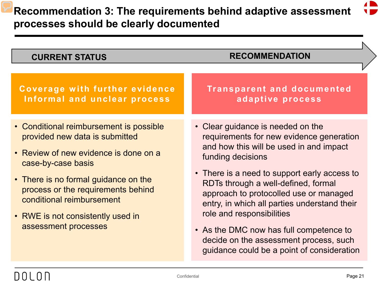| <b>CURRENT STATUS</b>                                                                                                                                                                                                                                                                                            | <b>RECOMMENDATION</b>                                                                                                                                                                                                                                                                                                                                                                                                                                                                          |
|------------------------------------------------------------------------------------------------------------------------------------------------------------------------------------------------------------------------------------------------------------------------------------------------------------------|------------------------------------------------------------------------------------------------------------------------------------------------------------------------------------------------------------------------------------------------------------------------------------------------------------------------------------------------------------------------------------------------------------------------------------------------------------------------------------------------|
|                                                                                                                                                                                                                                                                                                                  |                                                                                                                                                                                                                                                                                                                                                                                                                                                                                                |
| Coverage with further evidence<br>Informal and unclear process                                                                                                                                                                                                                                                   | <b>Transparent and documented</b><br>adaptive process                                                                                                                                                                                                                                                                                                                                                                                                                                          |
| • Conditional reimbursement is possible<br>provided new data is submitted<br>• Review of new evidence is done on a<br>case-by-case basis<br>• There is no formal guidance on the<br>process or the requirements behind<br>conditional reimbursement<br>• RWE is not consistently used in<br>assessment processes | • Clear guidance is needed on the<br>requirements for new evidence generation<br>and how this will be used in and impact<br>funding decisions<br>• There is a need to support early access to<br>RDTs through a well-defined, formal<br>approach to protocolled use or managed<br>entry, in which all parties understand their<br>role and responsibilities<br>• As the DMC now has full competence to<br>decide on the assessment process, such<br>guidance could be a point of consideration |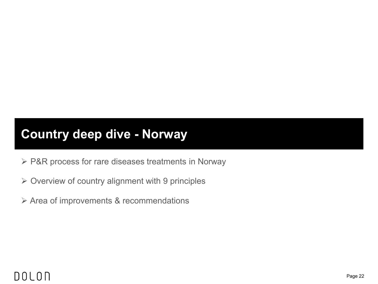## **Country deep dive - Norway**

- ▶ P&R process for rare diseases treatments in Norway
- $\triangleright$  Overview of country alignment with 9 principles
- Area of improvements & recommendations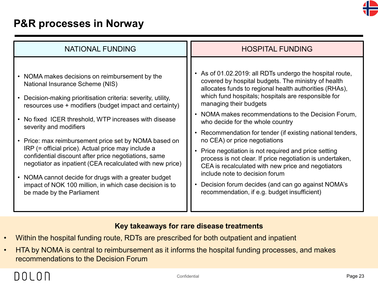

### **P&R processes in Norway**

| <b>NATIONAL FUNDING</b>                                                                                                                                                                                                                                                                                                                                                                                                                                                                                                                                                                                                                                                          | <b>HOSPITAL FUNDING</b>                                                                                                                                                                                                                                                                                                                                                                                                                                                                                                                                                                                                                                                                                                                                                 |
|----------------------------------------------------------------------------------------------------------------------------------------------------------------------------------------------------------------------------------------------------------------------------------------------------------------------------------------------------------------------------------------------------------------------------------------------------------------------------------------------------------------------------------------------------------------------------------------------------------------------------------------------------------------------------------|-------------------------------------------------------------------------------------------------------------------------------------------------------------------------------------------------------------------------------------------------------------------------------------------------------------------------------------------------------------------------------------------------------------------------------------------------------------------------------------------------------------------------------------------------------------------------------------------------------------------------------------------------------------------------------------------------------------------------------------------------------------------------|
| • NOMA makes decisions on reimbursement by the<br>National Insurance Scheme (NIS)<br>Decision-making prioritisation criteria: severity, utility,<br>resources use + modifiers (budget impact and certainty)<br>• No fixed ICER threshold, WTP increases with disease<br>severity and modifiers<br>• Price: max reimbursement price set by NOMA based on<br>IRP (= official price). Actual price may include a<br>confidential discount after price negotiations, same<br>negotiator as inpatient (CEA recalculated with new price)<br>NOMA cannot decide for drugs with a greater budget<br>impact of NOK 100 million, in which case decision is to<br>be made by the Parliament | • As of 01.02.2019: all RDTs undergo the hospital route,<br>covered by hospital budgets. The ministry of health<br>allocates funds to regional health authorities (RHAs),<br>which fund hospitals; hospitals are responsible for<br>managing their budgets<br>• NOMA makes recommendations to the Decision Forum,<br>who decide for the whole country<br>• Recommendation for tender (if existing national tenders,<br>no CEA) or price negotiations<br>• Price negotiation is not required and price setting<br>process is not clear. If price negotiation is undertaken,<br>CEA is recalculated with new price and negotiators<br>include note to decision forum<br>Decision forum decides (and can go against NOMA's<br>recommendation, if e.g. budget insufficient) |

#### **Key takeaways for rare disease treatments**

- Within the hospital funding route, RDTs are prescribed for both outpatient and inpatient
- HTA by NOMA is central to reimbursement as it informs the hospital funding processes, and makes recommendations to the Decision Forum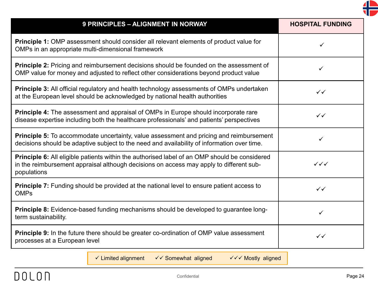

| 9 PRINCIPLES - ALIGNMENT IN NORWAY                                                                                                                                                                             | <b>HOSPITAL FUNDING</b> |
|----------------------------------------------------------------------------------------------------------------------------------------------------------------------------------------------------------------|-------------------------|
| <b>Principle 1:</b> OMP assessment should consider all relevant elements of product value for<br>OMPs in an appropriate multi-dimensional framework                                                            | $\checkmark$            |
| <b>Principle 2:</b> Pricing and reimbursement decisions should be founded on the assessment of<br>OMP value for money and adjusted to reflect other considerations beyond product value                        | ✓                       |
| <b>Principle 3:</b> All official regulatory and health technology assessments of OMPs undertaken<br>at the European level should be acknowledged by national health authorities                                | $\checkmark$            |
| <b>Principle 4:</b> The assessment and appraisal of OMPs in Europe should incorporate rare<br>disease expertise including both the healthcare professionals' and patients' perspectives                        | $\checkmark$            |
| <b>Principle 5:</b> To accommodate uncertainty, value assessment and pricing and reimbursement<br>decisions should be adaptive subject to the need and availability of information over time.                  | ✓                       |
| <b>Principle 6:</b> All eligible patients within the authorised label of an OMP should be considered<br>in the reimbursement appraisal although decisions on access may apply to different sub-<br>populations | $\checkmark\checkmark$  |
| <b>Principle 7:</b> Funding should be provided at the national level to ensure patient access to<br><b>OMPs</b>                                                                                                | $\checkmark$            |
| <b>Principle 8:</b> Evidence-based funding mechanisms should be developed to guarantee long-<br>term sustainability.                                                                                           | $\checkmark$            |
| <b>Principle 9:</b> In the future there should be greater co-ordination of OMP value assessment<br>processes at a European level                                                                               | $\checkmark$            |

 $\checkmark$  Limited alignment  $\checkmark$   $\checkmark$  Somewhat aligned  $\checkmark$   $\checkmark$   $\checkmark$  Mostly aligned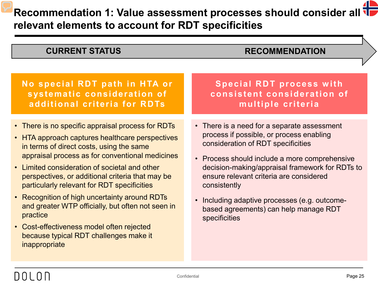**Recommendation 1: Value assessment processes should consider all relevant elements to account for RDT specificities** 

| <b>CURRENT STATUS</b>                                                                                                                                                                                                                                                                                                                                                                                                                                                                                                                                                             | <b>RECOMMENDATION</b>                                                                                                                                                                                                                                                                                                                                                                                   |
|-----------------------------------------------------------------------------------------------------------------------------------------------------------------------------------------------------------------------------------------------------------------------------------------------------------------------------------------------------------------------------------------------------------------------------------------------------------------------------------------------------------------------------------------------------------------------------------|---------------------------------------------------------------------------------------------------------------------------------------------------------------------------------------------------------------------------------------------------------------------------------------------------------------------------------------------------------------------------------------------------------|
| No special RDT path in HTA or<br>systematic consideration of<br>additional criteria for RDTs                                                                                                                                                                                                                                                                                                                                                                                                                                                                                      | <b>Special RDT process with</b><br>consistent consideration of<br>multiple criteria                                                                                                                                                                                                                                                                                                                     |
| • There is no specific appraisal process for RDTs<br>• HTA approach captures healthcare perspectives<br>in terms of direct costs, using the same<br>appraisal process as for conventional medicines<br>• Limited consideration of societal and other<br>perspectives, or additional criteria that may be<br>particularly relevant for RDT specificities<br>• Recognition of high uncertainty around RDTs<br>and greater WTP officially, but often not seen in<br>practice<br>• Cost-effectiveness model often rejected<br>because typical RDT challenges make it<br>inappropriate | • There is a need for a separate assessment<br>process if possible, or process enabling<br>consideration of RDT specificities<br>• Process should include a more comprehensive<br>decision-making/appraisal framework for RDTs to<br>ensure relevant criteria are considered<br>consistently<br>• Including adaptive processes (e.g. outcome-<br>based agreements) can help manage RDT<br>specificities |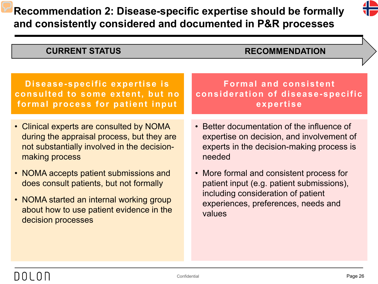## **Recommendation 2: Disease-specific expertise should be formally and consistently considered and documented in P&R processes**



| <b>CURRENT STATUS</b>                       | <b>RECOMMENDATION</b>                      |
|---------------------------------------------|--------------------------------------------|
| Disease-specific expertise is               | <b>Formal and consistent</b>               |
| consulted to some extent, but no            | consideration of disease-specific          |
| formal process for patient input            | expertise                                  |
| • Clinical experts are consulted by NOMA    | • Better documentation of the influence of |
| during the appraisal process, but they are  | expertise on decision, and involvement of  |
| not substantially involved in the decision- | experts in the decision-making process is  |
| making process                              | needed                                     |
| • NOMA accepts patient submissions and      | • More formal and consistent process for   |
| does consult patients, but not formally     | patient input (e.g. patient submissions),  |
| • NOMA started an internal working group    | including consideration of patient         |
| about how to use patient evidence in the    | experiences, preferences, needs and        |
| decision processes                          | values                                     |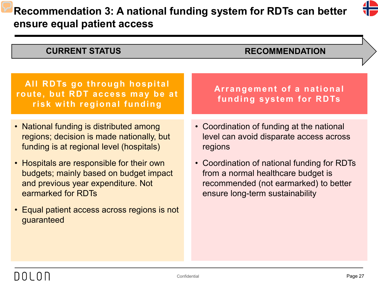## **Recommendation 3: A national funding system for RDTs can better ensure equal patient access**



| <b>CURRENT STATUS</b>                                                                                                                           | <b>RECOMMENDATION</b>                                                                                                                                         |
|-------------------------------------------------------------------------------------------------------------------------------------------------|---------------------------------------------------------------------------------------------------------------------------------------------------------------|
|                                                                                                                                                 |                                                                                                                                                               |
| All RDTs go through hospital<br>route, but RDT access may be at<br>risk with regional funding                                                   | Arrangement of a national<br>funding system for RDTs                                                                                                          |
| • National funding is distributed among<br>regions; decision is made nationally, but<br>funding is at regional level (hospitals)                | • Coordination of funding at the national<br>level can avoid disparate access across<br>regions                                                               |
| • Hospitals are responsible for their own<br>budgets; mainly based on budget impact<br>and previous year expenditure. Not<br>earmarked for RDTs | • Coordination of national funding for RDTs<br>from a normal healthcare budget is<br>recommended (not earmarked) to better<br>ensure long-term sustainability |
| • Equal patient access across regions is not<br>guaranteed                                                                                      |                                                                                                                                                               |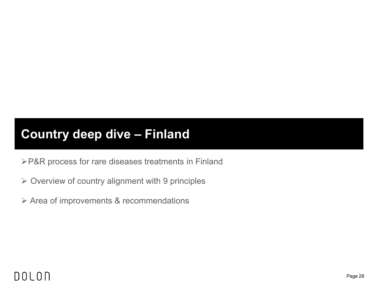## **Country deep dive – Finland**

P&R process for rare diseases treatments in Finland

- $\triangleright$  Overview of country alignment with 9 principles
- Area of improvements & recommendations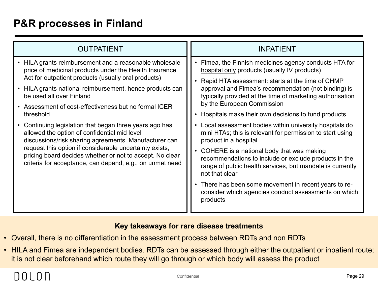### **P&R processes in Finland**

| <b>OUTPATIENT</b>                                                                                                                                                                                                                                                                                                                                 | <b>INPATIENT</b>                                                                                                                                                                                                                                                                                                                                                                                                                                               |
|---------------------------------------------------------------------------------------------------------------------------------------------------------------------------------------------------------------------------------------------------------------------------------------------------------------------------------------------------|----------------------------------------------------------------------------------------------------------------------------------------------------------------------------------------------------------------------------------------------------------------------------------------------------------------------------------------------------------------------------------------------------------------------------------------------------------------|
| • HILA grants reimbursement and a reasonable wholesale<br>price of medicinal products under the Health Insurance<br>Act for outpatient products (usually oral products)<br>• HILA grants national reimbursement, hence products can<br>be used all over Finland<br>• Assessment of cost-effectiveness but no formal ICER<br>threshold             | Fimea, the Finnish medicines agency conducts HTA for<br>hospital only products (usually IV products)<br>Rapid HTA assessment: starts at the time of CHMP<br>approval and Fimea's recommendation (not binding) is<br>typically provided at the time of marketing authorisation<br>by the European Commission<br>• Hospitals make their own decisions to fund products                                                                                           |
| Continuing legislation that began three years ago has<br>allowed the option of confidential mid level<br>discussions/risk sharing agreements. Manufacturer can<br>request this option if considerable uncertainty exists,<br>pricing board decides whether or not to accept. No clear<br>criteria for acceptance, can depend, e.g., on unmet need | Local assessment bodies within university hospitals do<br>mini HTAs; this is relevant for permission to start using<br>product in a hospital<br>COHERE is a national body that was making<br>recommendations to include or exclude products in the<br>range of public health services, but mandate is currently<br>not that clear<br>• There has been some movement in recent years to re-<br>consider which agencies conduct assessments on which<br>products |

#### **Key takeaways for rare disease treatments**

- Overall, there is no differentiation in the assessment process between RDTs and non RDTs
- HILA and Fimea are independent bodies. RDTs can be assessed through either the outpatient or inpatient route; it is not clear beforehand which route they will go through or which body will assess the product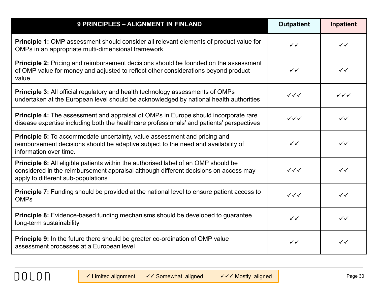| 9 PRINCIPLES - ALIGNMENT IN FINLAND                                                                                                                                                                                     | <b>Outpatient</b>      | Inpatient              |
|-------------------------------------------------------------------------------------------------------------------------------------------------------------------------------------------------------------------------|------------------------|------------------------|
| <b>Principle 1:</b> OMP assessment should consider all relevant elements of product value for<br>OMPs in an appropriate multi-dimensional framework                                                                     | $\checkmark$           | $\checkmark$           |
| <b>Principle 2:</b> Pricing and reimbursement decisions should be founded on the assessment<br>of OMP value for money and adjusted to reflect other considerations beyond product<br>value                              | $\checkmark$           | $\checkmark$           |
| <b>Principle 3:</b> All official regulatory and health technology assessments of OMPs<br>undertaken at the European level should be acknowledged by national health authorities                                         | $\checkmark\checkmark$ | $\checkmark\checkmark$ |
| Principle 4: The assessment and appraisal of OMPs in Europe should incorporate rare<br>disease expertise including both the healthcare professionals' and patients' perspectives                                        | $\checkmark\checkmark$ | $\checkmark$           |
| <b>Principle 5:</b> To accommodate uncertainty, value assessment and pricing and<br>reimbursement decisions should be adaptive subject to the need and availability of<br>information over time.                        | $\checkmark$           | $\checkmark$           |
| <b>Principle 6:</b> All eligible patients within the authorised label of an OMP should be<br>considered in the reimbursement appraisal although different decisions on access may<br>apply to different sub-populations | $\checkmark\checkmark$ | $\checkmark$           |
| <b>Principle 7:</b> Funding should be provided at the national level to ensure patient access to<br><b>OMPs</b>                                                                                                         | $\checkmark\checkmark$ | $\checkmark$           |
| Principle 8: Evidence-based funding mechanisms should be developed to guarantee<br>long-term sustainability                                                                                                             | $\checkmark$           | $\checkmark$           |
| <b>Principle 9:</b> In the future there should be greater co-ordination of OMP value<br>assessment processes at a European level                                                                                        | $\checkmark$           | $\checkmark$           |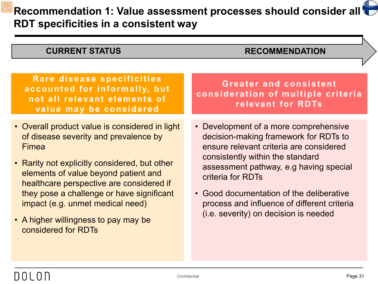## **Recommendation 1: Value assessment processes should consider all**  $\bullet$ **RDT specificities in a consistent way**

#### **CURRENT STATUS RECOMMENDATION**

| Rare disease specificities<br>accounted for informally, but<br>not all relevant elements of<br>value may be considered                                                                                                                                                                                                                                                                       | <b>Greater and consistent</b><br>consideration of multiple criter<br>relevant for RDTs                                                                                                                                                                                                                                                                           |
|----------------------------------------------------------------------------------------------------------------------------------------------------------------------------------------------------------------------------------------------------------------------------------------------------------------------------------------------------------------------------------------------|------------------------------------------------------------------------------------------------------------------------------------------------------------------------------------------------------------------------------------------------------------------------------------------------------------------------------------------------------------------|
| • Overall product value is considered in light<br>of disease severity and prevalence by<br><b>Fimea</b><br>• Rarity not explicitly considered, but other<br>elements of value beyond patient and<br>healthcare perspective are considered if<br>they pose a challenge or have significant<br>impact (e.g. unmet medical need)<br>• A higher willingness to pay may be<br>considered for RDTs | • Development of a more comprehensive<br>decision-making framework for RDTs to<br>ensure relevant criteria are considered<br>consistently within the standard<br>assessment pathway, e.g having special<br>criteria for RDTs<br>• Good documentation of the deliberative<br>process and influence of different criteria<br>(i.e. severity) on decision is needed |
|                                                                                                                                                                                                                                                                                                                                                                                              |                                                                                                                                                                                                                                                                                                                                                                  |

riteria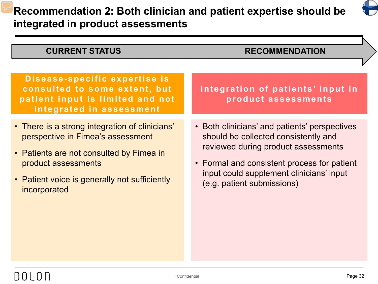

| <b>CURRENT STATUS</b>                                                                                                                                                                                                   | <b>RECOMMENDATION</b>                                                                                                                                                                                                                                 |
|-------------------------------------------------------------------------------------------------------------------------------------------------------------------------------------------------------------------------|-------------------------------------------------------------------------------------------------------------------------------------------------------------------------------------------------------------------------------------------------------|
|                                                                                                                                                                                                                         |                                                                                                                                                                                                                                                       |
| Disease-specific expertise is<br>consulted to some extent, but<br>patient input is limited and not<br>integrated in assessment                                                                                          | Integration of patients' input in<br>product assessments                                                                                                                                                                                              |
| • There is a strong integration of clinicians'<br>perspective in Fimea's assessment<br>• Patients are not consulted by Fimea in<br>product assessments<br>• Patient voice is generally not sufficiently<br>incorporated | • Both clinicians' and patients' perspectives<br>should be collected consistently and<br>reviewed during product assessments<br>• Formal and consistent process for patient<br>input could supplement clinicians' input<br>(e.g. patient submissions) |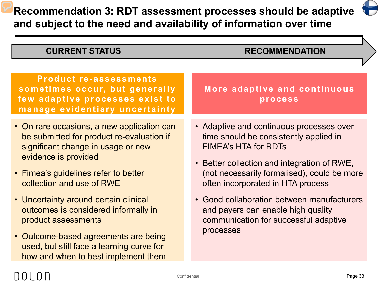**Recommendation 3: RDT assessment processes should be adaptive and subject to the need and availability of information over time**

**CURRENT STATUS RECOMMENDATION**

| <b>Product re-assessments</b><br>sometimes occur, but generally                                                                                                                                                                                                                                                                                                                                                         | More adaptive and continuous                                                                                                                                                                                                                                                                                                                                                                   |
|-------------------------------------------------------------------------------------------------------------------------------------------------------------------------------------------------------------------------------------------------------------------------------------------------------------------------------------------------------------------------------------------------------------------------|------------------------------------------------------------------------------------------------------------------------------------------------------------------------------------------------------------------------------------------------------------------------------------------------------------------------------------------------------------------------------------------------|
| few adaptive processes exist to<br>manage evidentiary uncertainty                                                                                                                                                                                                                                                                                                                                                       | process                                                                                                                                                                                                                                                                                                                                                                                        |
| • On rare occasions, a new application can<br>be submitted for product re-evaluation if<br>significant change in usage or new<br>evidence is provided<br>• Fimea's guidelines refer to better<br>collection and use of RWE<br>• Uncertainty around certain clinical<br>outcomes is considered informally in<br>product assessments<br>• Outcome-based agreements are being<br>used, but still face a learning curve for | • Adaptive and continuous processes over<br>time should be consistently applied in<br><b>FIMEA's HTA for RDTs</b><br>• Better collection and integration of RWE,<br>(not necessarily formalised), could be more<br>often incorporated in HTA process<br>• Good collaboration between manufacturers<br>and payers can enable high quality<br>communication for successful adaptive<br>processes |
| how and when to best implement them                                                                                                                                                                                                                                                                                                                                                                                     |                                                                                                                                                                                                                                                                                                                                                                                                |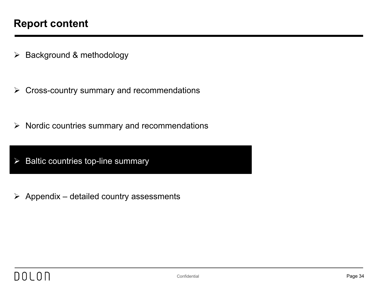- $\triangleright$  Background & methodology
- $\triangleright$  Cross-country summary and recommendations
- $\triangleright$  Nordic countries summary and recommendations
- $\triangleright$  Baltic countries top-line summary
- $\triangleright$  Appendix detailed country assessments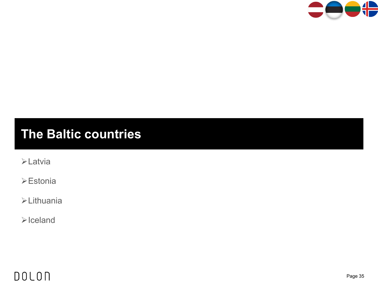

## **The Baltic countries**

Latvia

Estonia

Lithuania

 $\blacktriangleright$  Iceland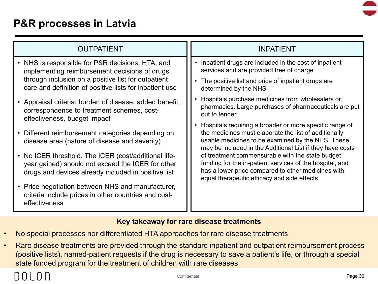

### **P&R processes in Latvia**

| <b>OUTPATIENT</b>                                                                                                                                                | <b>INPATIENT</b>                                                                                                                                                                                                                     |
|------------------------------------------------------------------------------------------------------------------------------------------------------------------|--------------------------------------------------------------------------------------------------------------------------------------------------------------------------------------------------------------------------------------|
| • NHS is responsible for P&R decisions, HTA, and<br>implementing reimbursement decisions of drugs                                                                | Inpatient drugs are included in the cost of inpatient<br>services and are provided free of charge                                                                                                                                    |
| through inclusion on a positive list for outpatient<br>care and definition of positive lists for inpatient use                                                   | • The positive list and price of inpatient drugs are<br>determined by the NHS                                                                                                                                                        |
| • Appraisal criteria: burden of disease, added benefit,<br>correspondence to treatment schemes, cost-<br>effectiveness, budget impact                            | • Hospitals purchase medicines from wholesalers or<br>pharmacies. Large purchases of pharmaceuticals are put<br>out to tender                                                                                                        |
| Different reimbursement categories depending on<br>$\bullet$<br>disease area (nature of disease and severity)                                                    | • Hospitals requiring a broader or more specific range of<br>the medicines must elaborate the list of additionally<br>usable medicines to be examined by the NHS. These<br>may be included in the Additional List if they have costs |
| • No ICER threshold. The ICER (cost/additional life-<br>year gained) should not exceed the ICER for other<br>drugs and devices already included in positive list | of treatment commensurable with the state budget<br>funding for the in-patient services of the hospital, and<br>has a lower price compared to other medicines with<br>equal therapeutic efficacy and side effects                    |
| Price negotiation between NHS and manufacturer,<br>$\bullet$<br>criteria include prices in other countries and cost-<br>effectiveness                            |                                                                                                                                                                                                                                      |

#### **Key takeaway for rare disease treatments**

- No special processes nor differentiated HTA approaches for rare disease treatments
- Rare disease treatments are provided through the standard inpatient and outpatient reimbursement process (positive lists), named-patient requests if the drug is necessary to save a patient's life, or through a special state funded program for the treatment of children with rare diseases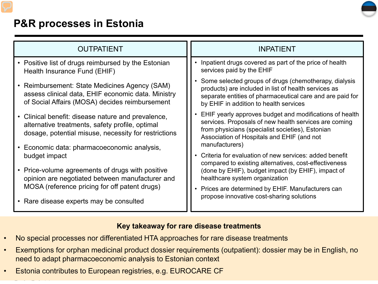

## **P&R processes in Estonia**

| <b>OUTPATIENT</b>                                                                                                                                                | <b>INPATIENT</b>                                                                                                                                                                                                                     |
|------------------------------------------------------------------------------------------------------------------------------------------------------------------|--------------------------------------------------------------------------------------------------------------------------------------------------------------------------------------------------------------------------------------|
| • Positive list of drugs reimbursed by the Estonian<br>Health Insurance Fund (EHIF)                                                                              | Inpatient drugs covered as part of the price of health<br>services paid by the EHIF                                                                                                                                                  |
| Reimbursement: State Medicines Agency (SAM)<br>$\bullet$<br>assess clinical data, EHIF economic data. Ministry<br>of Social Affairs (MOSA) decides reimbursement | Some selected groups of drugs (chemotherapy, dialysis<br>products) are included in list of health services as<br>separate entities of pharmaceutical care and are paid for<br>by EHIF in addition to health services                 |
| • Clinical benefit: disease nature and prevalence,<br>alternative treatments, safety profile, optimal<br>dosage, potential misuse, necessity for restrictions    | EHIF yearly approves budget and modifications of health<br>services. Proposals of new health services are coming<br>from physicians (specialist societies), Estonian<br>Association of Hospitals and EHIF (and not<br>manufacturers) |
| Economic data: pharmacoeconomic analysis,<br>٠<br>budget impact                                                                                                  | Criteria for evaluation of new services: added benefit                                                                                                                                                                               |
| Price-volume agreements of drugs with positive<br>opinion are negotiated between manufacturer and                                                                | compared to existing alternatives, cost-effectiveness<br>(done by EHIF), budget impact (by EHIF), impact of<br>healthcare system organization                                                                                        |
| MOSA (reference pricing for off patent drugs)<br>• Rare disease experts may be consulted                                                                         | Prices are determined by EHIF. Manufacturers can<br>propose innovative cost-sharing solutions                                                                                                                                        |

#### **Key takeaway for rare disease treatments**

- No special processes nor differentiated HTA approaches for rare disease treatments
- Exemptions for orphan medicinal product dossier requirements (outpatient): dossier may be in English, no need to adapt pharmacoeconomic analysis to Estonian context
- Estonia contributes to European registries, e.g. EUROCARE CF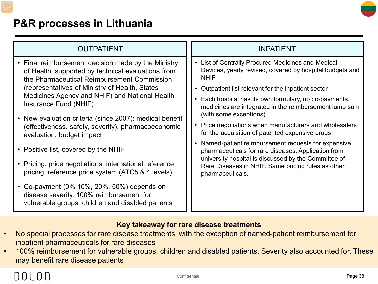

## **P&R processes in Lithuania**

#### **Key takeaway for rare disease treatments**

- No special processes for rare disease treatments, with the exception of named-patient reimbursement for inpatient pharmaceuticals for rare diseases
- 100% reimbursement for vulnerable groups, children and disabled patients. Severity also accounted for. These may benefit rare disease patients

# DOLON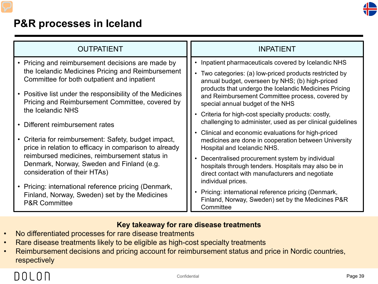

## **P&R processes in Iceland**

| <b>OUTPATIENT</b>                                                                                                          | <b>INPATIENT</b>                                                                                                                                                               |
|----------------------------------------------------------------------------------------------------------------------------|--------------------------------------------------------------------------------------------------------------------------------------------------------------------------------|
| • Pricing and reimbursement decisions are made by                                                                          | • Inpatient pharmaceuticals covered by Icelandic NHS                                                                                                                           |
| the Icelandic Medicines Pricing and Reimbursement                                                                          | Two categories: (a) low-priced products restricted by                                                                                                                          |
| Committee for both outpatient and inpatient                                                                                | annual budget, overseen by NHS; (b) high-priced                                                                                                                                |
| • Positive list under the responsibility of the Medicines<br>Pricing and Reimbursement Committee, covered by               | products that undergo the Icelandic Medicines Pricing<br>and Reimbursement Committee process, covered by<br>special annual budget of the NHS                                   |
| the Icelandic NHS                                                                                                          | • Criteria for high-cost specialty products: costly,                                                                                                                           |
| Different reimbursement rates                                                                                              | challenging to administer, used as per clinical guidelines                                                                                                                     |
| Criteria for reimbursement: Safety, budget impact,                                                                         | • Clinical and economic evaluations for high-priced                                                                                                                            |
| $\bullet$                                                                                                                  | medicines are done in cooperation between University                                                                                                                           |
| price in relation to efficacy in comparison to already                                                                     | Hospital and Icelandic NHS.                                                                                                                                                    |
| reimbursed medicines, reimbursement status in<br>Denmark, Norway, Sweden and Finland (e.g.<br>consideration of their HTAs) | Decentralised procurement system by individual<br>hospitals through tenders. Hospitals may also be in<br>direct contact with manufacturers and negotiate<br>individual prices. |
| • Pricing: international reference pricing (Denmark,                                                                       | Pricing: international reference pricing (Denmark,                                                                                                                             |
| Finland, Norway, Sweden) set by the Medicines                                                                              | Finland, Norway, Sweden) set by the Medicines P&R                                                                                                                              |
| <b>P&amp;R Committee</b>                                                                                                   | Committee                                                                                                                                                                      |

#### **Key takeaway for rare disease treatments**

- No differentiated processes for rare disease treatments
- Rare disease treatments likely to be eligible as high-cost specialty treatments
- Reimbursement decisions and pricing account for reimbursement status and price in Nordic countries, respectively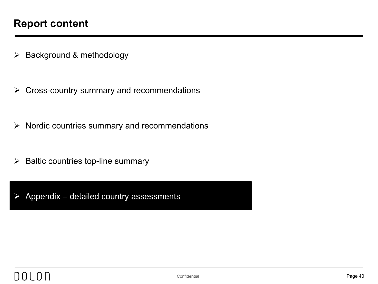- $\triangleright$  Background & methodology
- $\triangleright$  Cross-country summary and recommendations
- $\triangleright$  Nordic countries summary and recommendations
- $\triangleright$  Baltic countries top-line summary
- $\triangleright$  Appendix detailed country assessments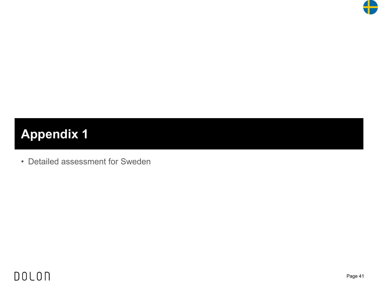

# **Appendix 1**

• Detailed assessment for Sweden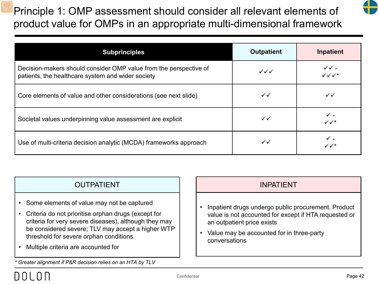Principle 1: OMP assessment should consider all relevant elements of product value for OMPs in an appropriate multi-dimensional framework

| and the state of the state of the | and the state of the state of the state of the state of the state of the state of the state of the state of th |
|-----------------------------------|----------------------------------------------------------------------------------------------------------------|
|                                   |                                                                                                                |

| <b>Subprinciples</b>                                                                                                   | <b>Outpatient</b>      | Inpatient                                        |
|------------------------------------------------------------------------------------------------------------------------|------------------------|--------------------------------------------------|
| Decision-makers should consider OMP value from the perspective of<br>patients, the healthcare system and wider society | $\checkmark\checkmark$ | $\checkmark$ $\checkmark$ -<br>$\sqrt{\sqrt{x}}$ |
| Core elements of value and other considerations (see next slide)                                                       | $\checkmark$           | $\checkmark$                                     |
| Societal values underpinning value assessment are explicit                                                             | $\checkmark$           | ✓ -<br>$\checkmark\checkmark^*$                  |
| Use of multi-criteria decision analytic (MCDA) frameworks approach                                                     | $\checkmark$           | $\checkmark$ .<br>$\checkmark\checkmark$         |

## OUTPATIENT INPATIENT

- Some elements of value may not be captured
- Criteria do not prioritise orphan drugs (except for criteria for very severe diseases), although they may be considered severe; TLV may accept a higher WTP threshold for severe orphan conditions.
- Multiple criteria are accounted for

*\* Greater alignment if P&R decision relies on an HTA by TLV*

- Inpatient drugs undergo public procurement. Product value is not accounted for except if HTA requested or an outpatient price exists
- Value may be accounted for in three-party conversations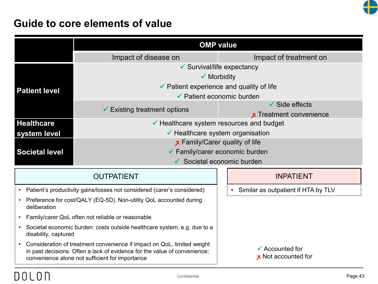

## **Guide to core elements of value**

|                                                                                                                                                                                                                      | <b>OMP value</b>                                                        |  |                                                   |
|----------------------------------------------------------------------------------------------------------------------------------------------------------------------------------------------------------------------|-------------------------------------------------------------------------|--|---------------------------------------------------|
|                                                                                                                                                                                                                      | Impact of disease on                                                    |  | Impact of treatment on                            |
|                                                                                                                                                                                                                      | $\checkmark$ Survival/life expectancy                                   |  |                                                   |
|                                                                                                                                                                                                                      | $\checkmark$ Morbidity                                                  |  |                                                   |
| <b>Patient level</b>                                                                                                                                                                                                 | $\checkmark$ Patient experience and quality of life                     |  |                                                   |
|                                                                                                                                                                                                                      | $\checkmark$ Patient economic burden                                    |  |                                                   |
|                                                                                                                                                                                                                      | $\checkmark$ Existing treatment options                                 |  | $\checkmark$ Side effects                         |
|                                                                                                                                                                                                                      |                                                                         |  | <b>x</b> Treatment convenience                    |
| <b>Healthcare</b>                                                                                                                                                                                                    | $\checkmark$ Healthcare system resources and budget                     |  |                                                   |
| system level                                                                                                                                                                                                         | $\checkmark$ Healthcare system organisation                             |  |                                                   |
|                                                                                                                                                                                                                      | <b>x</b> Family/Carer quality of life                                   |  |                                                   |
| <b>Societal level</b>                                                                                                                                                                                                | ✔ Family/carer economic burden                                          |  |                                                   |
|                                                                                                                                                                                                                      | $\checkmark$ Societal economic burden                                   |  |                                                   |
|                                                                                                                                                                                                                      | <b>OUTPATIENT</b>                                                       |  | <b>INPATIENT</b>                                  |
| $\bullet$                                                                                                                                                                                                            | Patient's productivity gains/losses not considered (carer's considered) |  | Similar as outpatient if HTA by TLV<br>$\bullet$  |
| Preference for cost/QALY (EQ-5D). Non-utility QoL accounted during<br>$\bullet$<br>deliberation                                                                                                                      |                                                                         |  |                                                   |
| Family/carer QoL often not reliable or reasonable<br>$\bullet$                                                                                                                                                       |                                                                         |  |                                                   |
| Societal economic burden: costs outside healthcare system, e.g. due to a<br>$\bullet$<br>disability, captured                                                                                                        |                                                                         |  |                                                   |
| Consideration of treatment convenience if impact on QoL, limited weight<br>$\bullet$<br>in past decisions. Often a lack of evidence for the value of convenience;<br>convenience alone not sufficient for importance |                                                                         |  | $\checkmark$ Accounted for<br>x Not accounted for |

## **DOLON**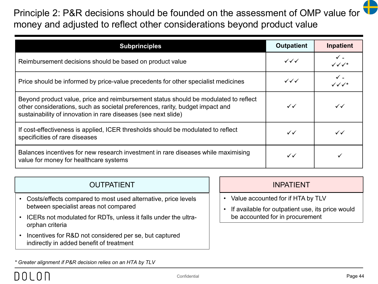## Principle 2: P&R decisions should be founded on the assessment of OMP value for money and adjusted to reflect other considerations beyond product value

| <b>Subprinciples</b>                                                                                                                                                                                                                   | <b>Outpatient</b>                | <b>Inpatient</b>                    |
|----------------------------------------------------------------------------------------------------------------------------------------------------------------------------------------------------------------------------------------|----------------------------------|-------------------------------------|
| Reimbursement decisions should be based on product value                                                                                                                                                                               |                                  | $\checkmark$ -<br>$\sqrt{\sqrt{x}}$ |
| Price should be informed by price-value precedents for other specialist medicines                                                                                                                                                      | $\checkmark\checkmark\checkmark$ | $\checkmark$ .<br>$\sqrt{\sqrt{x}}$ |
| Beyond product value, price and reimbursement status should be modulated to reflect<br>other considerations, such as societal preferences, rarity, budget impact and<br>sustainability of innovation in rare diseases (see next slide) | $\checkmark$                     | $\checkmark$                        |
| If cost-effectiveness is applied, ICER thresholds should be modulated to reflect<br>specificities of rare diseases                                                                                                                     | $\checkmark$                     | $\checkmark$                        |
| Balances incentives for new research investment in rare diseases while maximising<br>value for money for healthcare systems                                                                                                            | $\checkmark$                     |                                     |

## OUTPATIENT INPATIENT

- Costs/effects compared to most used alternative, price levels between specialist areas not compared
- ICERs not modulated for RDTs, unless it falls under the ultraorphan criteria
- Incentives for R&D not considered per se, but captured indirectly in added benefit of treatment

- Value accounted for if HTA by TLV
- If available for outpatient use, its price would be accounted for in procurement

*\* Greater alignment if P&R decision relies on an HTA by TLV*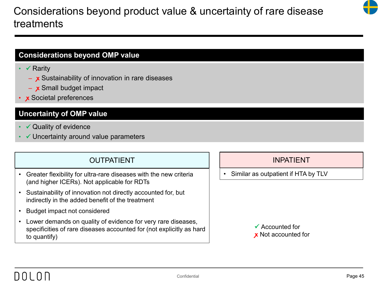## Considerations beyond product value & uncertainty of rare disease treatments

## **Considerations beyond OMP value**

- $\checkmark$  Rarity
	- x Sustainability of innovation in rare diseases
	- **ꭙ** Small budget impact
- **ꭙ** Societal preferences

### **Uncertainty of OMP value**

- $\checkmark$  Quality of evidence
- $\checkmark$  Uncertainty around value parameters

## OUTPATIENT INPATIENT

- Greater flexibility for ultra-rare diseases with the new criteria (and higher ICERs). Not applicable for RDTs
- Sustainability of innovation not directly accounted for, but indirectly in the added benefit of the treatment
- Budget impact not considered
- Lower demands on quality of evidence for very rare diseases, specificities of rare diseases accounted for (not explicitly as hard to quantify)

• Similar as outpatient if HTA by TLV



# DOL ON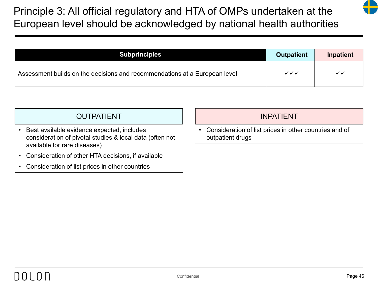Principle 3: All official regulatory and HTA of OMPs undertaken at the European level should be acknowledged by national health authorities

| <b>Subprinciples</b>                                                       | <b>Outpatient</b>      | <b>Inpatient</b> |
|----------------------------------------------------------------------------|------------------------|------------------|
| Assessment builds on the decisions and recommendations at a European level | $\checkmark\checkmark$ | ✓✓               |

## OUTPATIENT INPATIENT

- Best available evidence expected, includes consideration of pivotal studies & local data (often not available for rare diseases)
- Consideration of other HTA decisions, if available
- Consideration of list prices in other countries

• Consideration of list prices in other countries and of outpatient drugs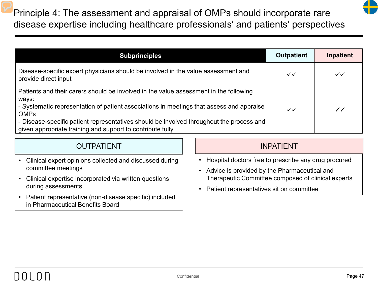Principle 4: The assessment and appraisal of OMPs should incorporate rare disease expertise including healthcare professionals' and patients' perspectives

| <b>Subprinciples</b>                                                                                                                                                                                                                                                                                                                                                | <b>Outpatient</b> | Inpatient    |
|---------------------------------------------------------------------------------------------------------------------------------------------------------------------------------------------------------------------------------------------------------------------------------------------------------------------------------------------------------------------|-------------------|--------------|
| Disease-specific expert physicians should be involved in the value assessment and<br>provide direct input                                                                                                                                                                                                                                                           | $\checkmark$      | $\checkmark$ |
| Patients and their carers should be involved in the value assessment in the following<br>ways:<br>- Systematic representation of patient associations in meetings that assess and appraise<br><b>OMPs</b><br>- Disease-specific patient representatives should be involved throughout the process and<br>given appropriate training and support to contribute fully | $\checkmark$      | $\checkmark$ |

## OUTPATIENT INPATIENT

- Clinical expert opinions collected and discussed during committee meetings
- Clinical expertise incorporated via written questions during assessments.
- Patient representative (non-disease specific) included in Pharmaceutical Benefits Board

- Hospital doctors free to prescribe any drug procured
- Advice is provided by the Pharmaceutical and Therapeutic Committee composed of clinical experts
- Patient representatives sit on committee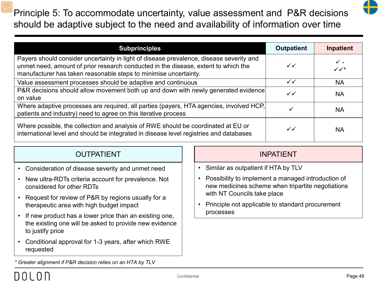Principle 5: To accommodate uncertainty, value assessment and P&R decisions should be adaptive subject to the need and availability of information over time

| <b>Subprinciples</b>                                                                                                                                                                                                                              | <b>Outpatient</b> | Inpatient                                  |
|---------------------------------------------------------------------------------------------------------------------------------------------------------------------------------------------------------------------------------------------------|-------------------|--------------------------------------------|
| Payers should consider uncertainty in light of disease prevalence, disease severity and<br>unmet need, amount of prior research conducted in the disease, extent to which the<br>manufacturer has taken reasonable steps to minimise uncertainty. | $\checkmark$      | $\checkmark$ -<br>$\checkmark\checkmark^*$ |
| Value assessment processes should be adaptive and continuous                                                                                                                                                                                      | $\checkmark$      | <b>NA</b>                                  |
| P&R decisions should allow movement both up and down with newly generated evidence<br>on value                                                                                                                                                    | $\checkmark$      | <b>NA</b>                                  |
| Where adaptive processes are required, all parties (payers, HTA agencies, involved HCP,<br>patients and industry) need to agree on this iterative process                                                                                         |                   | <b>NA</b>                                  |
| Where possible, the collection and analysis of RWE should be coordinated at EU or<br>international level and should be integrated in disease level registries and databases                                                                       | $\checkmark$      | <b>NA</b>                                  |

## OUTPATIENT INPATIENT

- Consideration of disease severity and unmet need
- New ultra-RDTs criteria account for prevalence. Not considered for other RDTs
- Request for review of P&R by regions usually for a therapeutic area with high budget impact
- If new product has a lower price than an existing one, the existing one will be asked to provide new evidence to justify price
- Conditional approval for 1-3 years, after which RWE requested

- Similar as outpatient if HTA by TLV
- Possibility to implement a managed introduction of new medicines scheme when tripartite negotiations with NT Councils take place
- Principle not applicable to standard procurement processes

*\* Greater alignment if P&R decision relies on an HTA by TLV*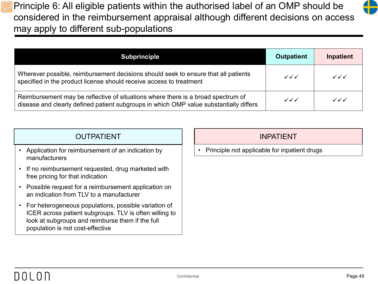Principle 6: All eligible patients within the authorised label of an OMP should be considered in the reimbursement appraisal although different decisions on access may apply to different sub-populations

| <b>Subprinciple</b>                                                                                                                                                        | <b>Outpatient</b>                | Inpatient                        |
|----------------------------------------------------------------------------------------------------------------------------------------------------------------------------|----------------------------------|----------------------------------|
| Wherever possible, reimbursement decisions should seek to ensure that all patients<br>specified in the product license should receive access to treatment                  | $\checkmark\checkmark\checkmark$ | $\checkmark\checkmark\checkmark$ |
| Reimbursement may be reflective of situations where there is a broad spectrum of<br>disease and clearly defined patient subgroups in which OMP value substantially differs | $\checkmark\checkmark\checkmark$ | $\checkmark\checkmark\checkmark$ |

| <b>OUTPATIENT</b>                                                                                                                                                                                      | <b>INPATIENT</b>                             |
|--------------------------------------------------------------------------------------------------------------------------------------------------------------------------------------------------------|----------------------------------------------|
| Application for reimbursement of an indication by<br>manufacturers                                                                                                                                     | Principle not applicable for inpatient drugs |
| If no reimbursement requested, drug marketed with<br>free pricing for that indication                                                                                                                  |                                              |
| Possible request for a reimbursement application on<br>an indication from TLV to a manufacturer                                                                                                        |                                              |
| For heterogeneous populations, possible variation of<br>ICER across patient subgroups. TLV is often willing to<br>look at subgroups and reimburse them if the full<br>population is not cost-effective |                                              |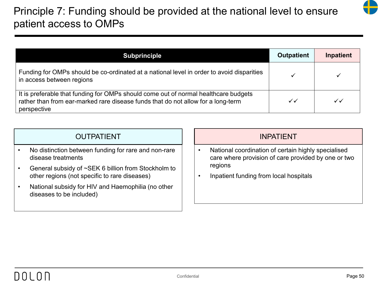## Principle 7: Funding should be provided at the national level to ensure patient access to OMPs

| <b>Subprinciple</b>                                                                                                                                                                    | <b>Outpatient</b> | Inpatient    |
|----------------------------------------------------------------------------------------------------------------------------------------------------------------------------------------|-------------------|--------------|
| Funding for OMPs should be co-ordinated at a national level in order to avoid disparities<br>in access between regions                                                                 |                   |              |
| It is preferable that funding for OMPs should come out of normal healthcare budgets<br>rather than from ear-marked rare disease funds that do not allow for a long-term<br>perspective | $\checkmark$      | $\checkmark$ |

| <b>OUTPATIENT</b> |  |
|-------------------|--|
|                   |  |

- No distinction between funding for rare and non-rare disease treatments
- General subsidy of ~SEK 6 billion from Stockholm to other regions (not specific to rare diseases)
- National subsidy for HIV and Haemophilia (no other diseases to be included)

- National coordination of certain highly specialised care where provision of care provided by one or two regions
- Inpatient funding from local hospitals

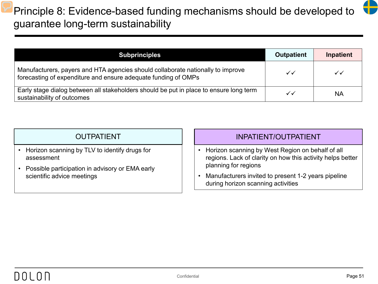## Principle 8: Evidence-based funding mechanisms should be developed to guarantee long-term sustainability

| <b>Subprinciples</b>                                                                                                                              | <b>Outpatient</b> | Inpatient    |
|---------------------------------------------------------------------------------------------------------------------------------------------------|-------------------|--------------|
| Manufacturers, payers and HTA agencies should collaborate nationally to improve<br>forecasting of expenditure and ensure adequate funding of OMPs | ✓✓                | $\checkmark$ |
| Early stage dialog between all stakeholders should be put in place to ensure long term<br>sustainability of outcomes                              | ✓✓                | <b>NA</b>    |

| <b>OUTPATIENT</b> |  |  |
|-------------------|--|--|
|                   |  |  |

- Horizon scanning by TLV to identify drugs for assessment
- Possible participation in advisory or EMA early scientific advice meetings

#### INPATIENT/OUTPATIENT

- Horizon scanning by West Region on behalf of all regions. Lack of clarity on how this activity helps better planning for regions
- Manufacturers invited to present 1-2 years pipeline during horizon scanning activities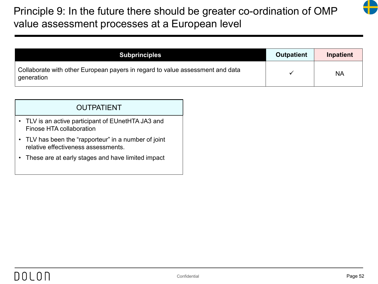## Principle 9: In the future there should be greater co-ordination of OMP value assessment processes at a European level



| <b>Subprinciples</b>                                                                        | <b>Outpatient</b> | <b>Inpatient</b> |
|---------------------------------------------------------------------------------------------|-------------------|------------------|
| Collaborate with other European payers in regard to value assessment and data<br>generation |                   | <b>NA</b>        |

#### OUTPATIENT

- TLV is an active participant of EUnetHTA JA3 and Finose HTA collaboration
- TLV has been the "rapporteur" in a number of joint relative effectiveness assessments.
- These are at early stages and have limited impact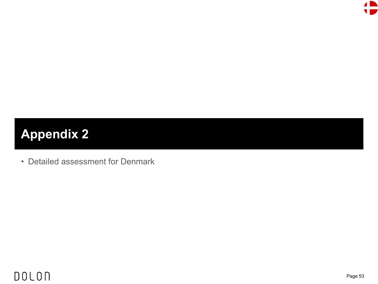

# **Appendix 2**

• Detailed assessment for Denmark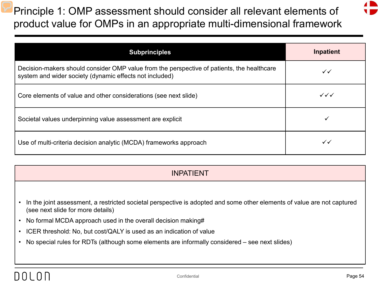Principle 1: OMP assessment should consider all relevant elements of product value for OMPs in an appropriate multi-dimensional framework



| <b>Subprinciples</b>                                                                                                                                  | <b>Inpatient</b>       |
|-------------------------------------------------------------------------------------------------------------------------------------------------------|------------------------|
| Decision-makers should consider OMP value from the perspective of patients, the healthcare<br>system and wider society (dynamic effects not included) | ✓✓                     |
| Core elements of value and other considerations (see next slide)                                                                                      | $\checkmark\checkmark$ |
| Societal values underpinning value assessment are explicit                                                                                            |                        |
| Use of multi-criteria decision analytic (MCDA) frameworks approach                                                                                    | ✓✓                     |

- In the joint assessment, a restricted societal perspective is adopted and some other elements of value are not captured (see next slide for more details)
- No formal MCDA approach used in the overall decision making#
- ICER threshold: No, but cost/QALY is used as an indication of value
- No special rules for RDTs (although some elements are informally considered see next slides)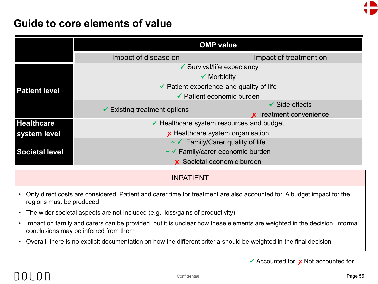

## **Guide to core elements of value**

|                       | <b>OMP value</b>                                    |                                |  |  |
|-----------------------|-----------------------------------------------------|--------------------------------|--|--|
|                       | Impact of disease on                                | Impact of treatment on         |  |  |
|                       | $\checkmark$ Survival/life expectancy               |                                |  |  |
|                       | $\checkmark$ Morbidity                              |                                |  |  |
| <b>Patient level</b>  | $\checkmark$ Patient experience and quality of life |                                |  |  |
|                       | $\checkmark$ Patient economic burden                |                                |  |  |
|                       | $\checkmark$ Existing treatment options             | $\checkmark$ Side effects      |  |  |
|                       |                                                     | <b>x</b> Treatment convenience |  |  |
| <b>Healthcare</b>     | $\checkmark$ Healthcare system resources and budget |                                |  |  |
| system level          | x Healthcare system organisation                    |                                |  |  |
|                       | $\sim$ Family/Carer quality of life                 |                                |  |  |
| <b>Societal level</b> | $\sim$ Family/carer economic burden                 |                                |  |  |
|                       | x Societal economic burden                          |                                |  |  |

#### INPATIENT

- Only direct costs are considered. Patient and carer time for treatment are also accounted for. A budget impact for the regions must be produced
- The wider societal aspects are not included (e.g.: loss/gains of productivity)
- Impact on family and carers can be provided, but it is unclear how these elements are weighted in the decision, informal conclusions may be inferred from them
- Overall, there is no explicit documentation on how the different criteria should be weighted in the final decision

Accounted for **ꭙ** Not accounted for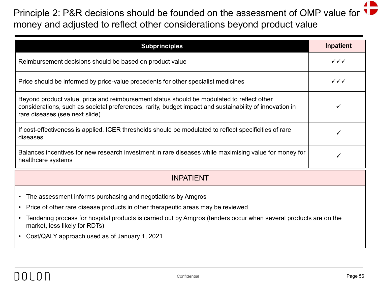## Principle 2: P&R decisions should be founded on the assessment of OMP value for U money and adjusted to reflect other considerations beyond product value

| <b>Subprinciples</b>                                                                                                                                                                                                                   | Inpatient                        |
|----------------------------------------------------------------------------------------------------------------------------------------------------------------------------------------------------------------------------------------|----------------------------------|
| Reimbursement decisions should be based on product value                                                                                                                                                                               | $\checkmark\checkmark\checkmark$ |
| Price should be informed by price-value precedents for other specialist medicines                                                                                                                                                      | $\checkmark\checkmark\checkmark$ |
| Beyond product value, price and reimbursement status should be modulated to reflect other<br>considerations, such as societal preferences, rarity, budget impact and sustainability of innovation in<br>rare diseases (see next slide) |                                  |
| If cost-effectiveness is applied, ICER thresholds should be modulated to reflect specificities of rare<br>diseases                                                                                                                     |                                  |
| Balances incentives for new research investment in rare diseases while maximising value for money for<br>healthcare systems                                                                                                            |                                  |
| <b>INPATIENT</b>                                                                                                                                                                                                                       |                                  |

- The assessment informs purchasing and negotiations by Amgros
- Price of other rare disease products in other therapeutic areas may be reviewed
- Tendering process for hospital products is carried out by Amgros (tenders occur when several products are on the market, less likely for RDTs)
- Cost/QALY approach used as of January 1, 2021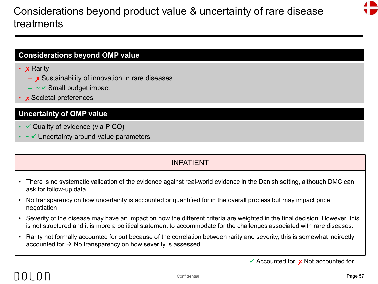## Considerations beyond product value & uncertainty of rare disease treatments



#### **Considerations beyond OMP value**

- **x** Rarity
	- x Sustainability of innovation in rare diseases
	- **~**  Small budget impact
- **ꭙ** Societal preferences

#### **Uncertainty of OMP value**

- $\checkmark$  Quality of evidence (via PICO)
- **~**  Uncertainty around value parameters

## INPATIENT

- There is no systematic validation of the evidence against real-world evidence in the Danish setting, although DMC can ask for follow-up data
- No transparency on how uncertainty is accounted or quantified for in the overall process but may impact price negotiation
- Severity of the disease may have an impact on how the different criteria are weighted in the final decision. However, this is not structured and it is more a political statement to accommodate for the challenges associated with rare diseases.
- Rarity not formally accounted for but because of the correlation between rarity and severity, this is somewhat indirectly accounted for  $\rightarrow$  No transparency on how severity is assessed

Accounted for **ꭙ** Not accounted for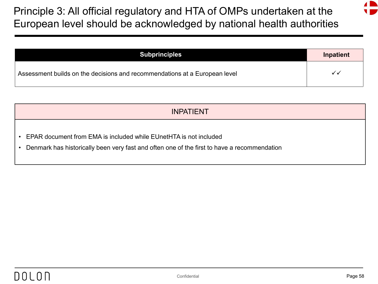Principle 3: All official regulatory and HTA of OMPs undertaken at the European level should be acknowledged by national health authorities

| <b>Subprinciples</b>                                                       | Inpatient |
|----------------------------------------------------------------------------|-----------|
| Assessment builds on the decisions and recommendations at a European level |           |

- EPAR document from EMA is included while EUnetHTA is not included
- Denmark has historically been very fast and often one of the first to have a recommendation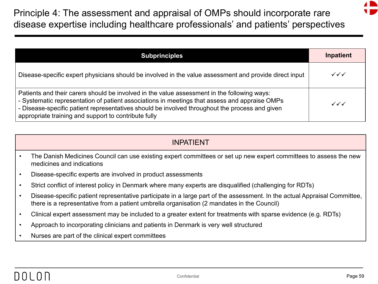Principle 4: The assessment and appraisal of OMPs should incorporate rare disease expertise including healthcare professionals' and patients' perspectives

| <b>Subprinciples</b>                                                                                                                                                                                                                                                                                                                                   | Inpatient                        |
|--------------------------------------------------------------------------------------------------------------------------------------------------------------------------------------------------------------------------------------------------------------------------------------------------------------------------------------------------------|----------------------------------|
| Disease-specific expert physicians should be involved in the value assessment and provide direct input                                                                                                                                                                                                                                                 | $\checkmark\checkmark\checkmark$ |
| Patients and their carers should be involved in the value assessment in the following ways:<br>- Systematic representation of patient associations in meetings that assess and appraise OMPs<br>- Disease-specific patient representatives should be involved throughout the process and given<br>appropriate training and support to contribute fully | $\checkmark\checkmark\checkmark$ |

- The Danish Medicines Council can use existing expert committees or set up new expert committees to assess the new medicines and indications
- Disease-specific experts are involved in product assessments
- Strict conflict of interest policy in Denmark where many experts are disqualified (challenging for RDTs)
- Disease-specific patient representative participate in a large part of the assessment. In the actual Appraisal Committee, there is a representative from a patient umbrella organisation (2 mandates in the Council)
- Clinical expert assessment may be included to a greater extent for treatments with sparse evidence (e.g. RDTs)
- Approach to incorporating clinicians and patients in Denmark is very well structured
- Nurses are part of the clinical expert committees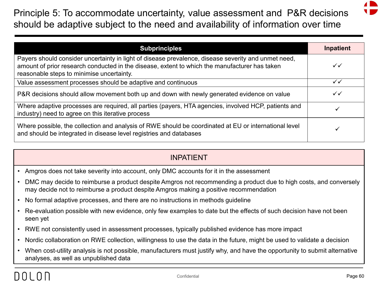Principle 5: To accommodate uncertainty, value assessment and P&R decisions should be adaptive subject to the need and availability of information over time

| <b>Subprinciples</b>                                                                                                                                                                                                                              | Inpatient    |
|---------------------------------------------------------------------------------------------------------------------------------------------------------------------------------------------------------------------------------------------------|--------------|
| Payers should consider uncertainty in light of disease prevalence, disease severity and unmet need,<br>amount of prior research conducted in the disease, extent to which the manufacturer has taken<br>reasonable steps to minimise uncertainty. | $\checkmark$ |
| Value assessment processes should be adaptive and continuous                                                                                                                                                                                      | ✓✓           |
| P&R decisions should allow movement both up and down with newly generated evidence on value                                                                                                                                                       | $\checkmark$ |
| Where adaptive processes are required, all parties (payers, HTA agencies, involved HCP, patients and<br>industry) need to agree on this iterative process                                                                                         |              |
| Where possible, the collection and analysis of RWE should be coordinated at EU or international level<br>and should be integrated in disease level registries and databases                                                                       |              |

- Amgros does not take severity into account, only DMC accounts for it in the assessment
- DMC may decide to reimburse a product despite Amgros not recommending a product due to high costs, and conversely may decide not to reimburse a product despite Amgros making a positive recommendation
- No formal adaptive processes, and there are no instructions in methods guideline
- Re-evaluation possible with new evidence, only few examples to date but the effects of such decision have not been seen yet
- RWE not consistently used in assessment processes, typically published evidence has more impact
- Nordic collaboration on RWE collection, willingness to use the data in the future, might be used to validate a decision
- When cost-utility analysis is not possible, manufacturers must justify why, and have the opportunity to submit alternative analyses, as well as unpublished data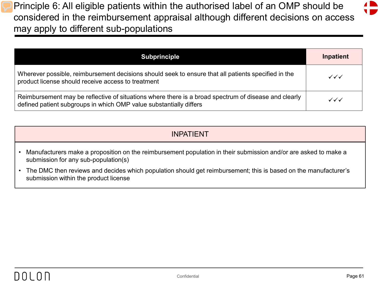Principle 6: All eligible patients within the authorised label of an OMP should be considered in the reimbursement appraisal although different decisions on access may apply to different sub-populations

| Subprinciple                                                                                                                                                               | Inpatient |
|----------------------------------------------------------------------------------------------------------------------------------------------------------------------------|-----------|
| Wherever possible, reimbursement decisions should seek to ensure that all patients specified in the<br>product license should receive access to treatment                  | ✓✓✓       |
| Reimbursement may be reflective of situations where there is a broad spectrum of disease and clearly<br>defined patient subgroups in which OMP value substantially differs | ✓✓✓       |

| <b>INPATIENT</b>                                                                                                                                          |
|-----------------------------------------------------------------------------------------------------------------------------------------------------------|
| • Manufacturers make a proposition on the reimbursement population in their submission and/or are asked to make a<br>submission for any sub-population(s) |
|                                                                                                                                                           |

• The DMC then reviews and decides which population should get reimbursement; this is based on the manufacturer's submission within the product license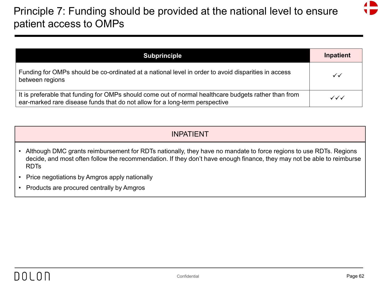## Principle 7: Funding should be provided at the national level to ensure patient access to OMPs

| <b>Subprinciple</b>                                                                                                                                                                 | Inpatient    |
|-------------------------------------------------------------------------------------------------------------------------------------------------------------------------------------|--------------|
| Funding for OMPs should be co-ordinated at a national level in order to avoid disparities in access<br>between regions                                                              | $\checkmark$ |
| It is preferable that funding for OMPs should come out of normal healthcare budgets rather than from<br>ear-marked rare disease funds that do not allow for a long-term perspective | ✓✓✓          |

- Although DMC grants reimbursement for RDTs nationally, they have no mandate to force regions to use RDTs. Regions decide, and most often follow the recommendation. If they don't have enough finance, they may not be able to reimburse RDTs
- Price negotiations by Amgros apply nationally
- Products are procured centrally by Amgros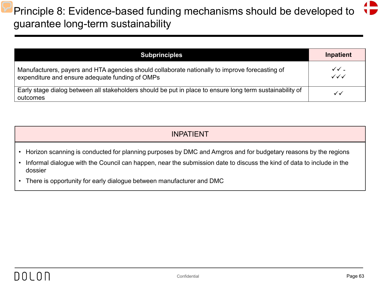# Principle 8: Evidence-based funding mechanisms should be developed to  $\begin{pmatrix} 1 \\ 2 \end{pmatrix}$ guarantee long-term sustainability

| <b>Subprinciples</b>                                                                                                                              | Inpatient                                          |
|---------------------------------------------------------------------------------------------------------------------------------------------------|----------------------------------------------------|
| Manufacturers, payers and HTA agencies should collaborate nationally to improve forecasting of<br>expenditure and ensure adequate funding of OMPs | $\checkmark$ .<br>$\checkmark\checkmark\checkmark$ |
| Early stage dialog between all stakeholders should be put in place to ensure long term sustainability of<br>outcomes                              | ✓✓                                                 |

| <b>INPATIENT</b>                                                                                                                                                                                                                        |
|-----------------------------------------------------------------------------------------------------------------------------------------------------------------------------------------------------------------------------------------|
| Horizon scanning is conducted for planning purposes by DMC and Amgros and for budgetary reasons by the regions<br>Informal dialogue with the Council can happen, near the submission date to discuss the kind of data to include in the |
| dossier                                                                                                                                                                                                                                 |
| There is opportunity for early dialogue between manufacturer and DMC                                                                                                                                                                    |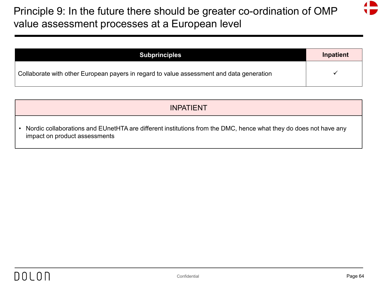## Principle 9: In the future there should be greater co-ordination of OMP value assessment processes at a European level

| <b>Subprinciples</b>                                                                     | Inpatient |
|------------------------------------------------------------------------------------------|-----------|
| Collaborate with other European payers in regard to value assessment and data generation |           |

### INPATIENT

• Nordic collaborations and EUnetHTA are different institutions from the DMC, hence what they do does not have any impact on product assessments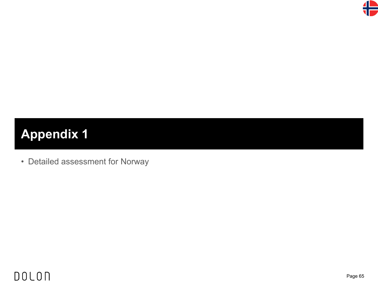

# **Appendix 1**

• Detailed assessment for Norway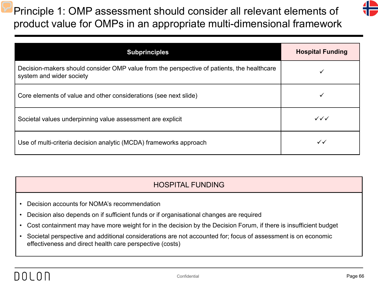Principle 1: OMP assessment should consider all relevant elements of product value for OMPs in an appropriate multi-dimensional framework



| <b>Subprinciples</b>                                                                                                   | <b>Hospital Funding</b> |
|------------------------------------------------------------------------------------------------------------------------|-------------------------|
| Decision-makers should consider OMP value from the perspective of patients, the healthcare<br>system and wider society |                         |
| Core elements of value and other considerations (see next slide)                                                       |                         |
| Societal values underpinning value assessment are explicit                                                             | $\checkmark\checkmark$  |
| Use of multi-criteria decision analytic (MCDA) frameworks approach                                                     | $\checkmark$            |

- Decision accounts for NOMA's recommendation
- Decision also depends on if sufficient funds or if organisational changes are required
- Cost containment may have more weight for in the decision by the Decision Forum, if there is insufficient budget
- Societal perspective and additional considerations are not accounted for; focus of assessment is on economic effectiveness and direct health care perspective (costs)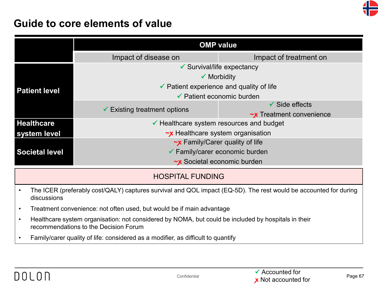

## **Guide to core elements of value**

|                       | <b>OMP value</b>                                    |                                |
|-----------------------|-----------------------------------------------------|--------------------------------|
|                       | Impact of disease on                                | Impact of treatment on         |
|                       | $\checkmark$ Survival/life expectancy               |                                |
|                       | $\checkmark$ Morbidity                              |                                |
| <b>Patient level</b>  | $\checkmark$ Patient experience and quality of life |                                |
|                       | $\checkmark$ Patient economic burden                |                                |
|                       | $\checkmark$ Existing treatment options             | $\checkmark$ Side effects      |
|                       |                                                     | $\sim$ x Treatment convenience |
| <b>Healthcare</b>     | $\checkmark$ Healthcare system resources and budget |                                |
| system level          | $\sim$ x Healthcare system organisation             |                                |
|                       | $\sim$ x Family/Carer quality of life               |                                |
| <b>Societal level</b> | $\checkmark$ Family/carer economic burden           |                                |
|                       | $\sim$ x Societal economic burden                   |                                |

- The ICER (preferably cost/QALY) captures survival and QOL impact (EQ-5D). The rest would be accounted for during discussions
- Treatment convenience: not often used, but would be if main advantage
- Healthcare system organisation: not considered by NOMA, but could be included by hospitals in their recommendations to the Decision Forum
- Family/carer quality of life: considered as a modifier, as difficult to quantify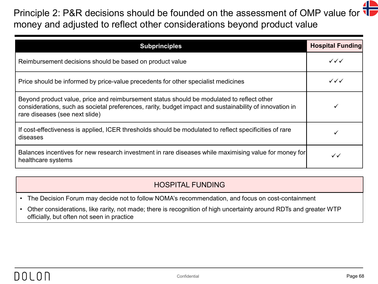## Principle 2: P&R decisions should be founded on the assessment of OMP value for  $\P$ money and adjusted to reflect other considerations beyond product value

| <b>Subprinciples</b>                                                                                                                                                                                                                   | <b>Hospital Funding</b> |
|----------------------------------------------------------------------------------------------------------------------------------------------------------------------------------------------------------------------------------------|-------------------------|
| Reimbursement decisions should be based on product value                                                                                                                                                                               | ✓✓✓                     |
| Price should be informed by price-value precedents for other specialist medicines                                                                                                                                                      | $\checkmark\checkmark$  |
| Beyond product value, price and reimbursement status should be modulated to reflect other<br>considerations, such as societal preferences, rarity, budget impact and sustainability of innovation in<br>rare diseases (see next slide) |                         |
| If cost-effectiveness is applied, ICER thresholds should be modulated to reflect specificities of rare<br>diseases                                                                                                                     |                         |
| Balances incentives for new research investment in rare diseases while maximising value for money for<br>healthcare systems                                                                                                            | ✓✓                      |

- The Decision Forum may decide not to follow NOMA's recommendation, and focus on cost-containment
- Other considerations, like rarity, not made; there is recognition of high uncertainty around RDTs and greater WTP officially, but often not seen in practice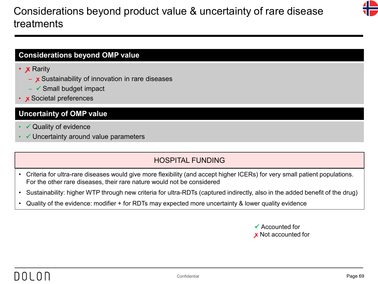## Considerations beyond product value & uncertainty of rare disease treatments



## **Considerations beyond OMP value**

- **X** Rarity
	- x Sustainability of innovation in rare diseases
	- $\checkmark$  Small budget impact
- **ꭙ** Societal preferences

#### **Uncertainty of OMP value**

- $\checkmark$  Quality of evidence
- $\checkmark$  Uncertainty around value parameters

- Criteria for ultra-rare diseases would give more flexibility (and accept higher ICERs) for very small patient populations. For the other rare diseases, their rare nature would not be considered
- Sustainability: higher WTP through new criteria for ultra-RDTs (captured indirectly, also in the added benefit of the drug)
- Quality of the evidence: modifier + for RDTs may expected more uncertainty & lower quality evidence

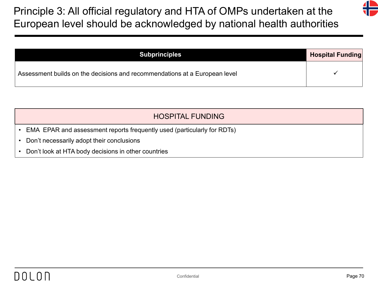Principle 3: All official regulatory and HTA of OMPs undertaken at the European level should be acknowledged by national health authorities

| <b>Subprinciples</b>                                                       | <b>Hospital Funding</b> |
|----------------------------------------------------------------------------|-------------------------|
| Assessment builds on the decisions and recommendations at a European level |                         |

- EMA EPAR and assessment reports frequently used (particularly for RDTs)
- Don't necessarily adopt their conclusions
- Don't look at HTA body decisions in other countries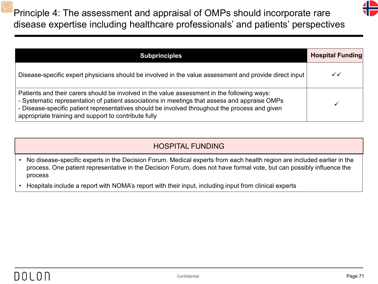Principle 4: The assessment and appraisal of OMPs should incorporate rare disease expertise including healthcare professionals' and patients' perspectives

| <b>Subprinciples</b>                                                                                                                                                                                                                                                                                                                                   | <b>Hospital Funding</b> |
|--------------------------------------------------------------------------------------------------------------------------------------------------------------------------------------------------------------------------------------------------------------------------------------------------------------------------------------------------------|-------------------------|
| Disease-specific expert physicians should be involved in the value assessment and provide direct input                                                                                                                                                                                                                                                 | ✓✓                      |
| Patients and their carers should be involved in the value assessment in the following ways:<br>- Systematic representation of patient associations in meetings that assess and appraise OMPs<br>- Disease-specific patient representatives should be involved throughout the process and given<br>appropriate training and support to contribute fully |                         |

- No disease-specific experts in the Decision Forum. Medical experts from each health region are included earlier in the process. One patient representative in the Decision Forum, does not have formal vote, but can possibly influence the process
- Hospitals include a report with NOMA's report with their input, including input from clinical experts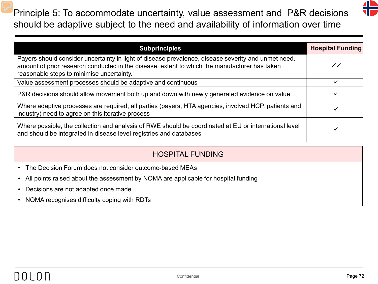Principle 5: To accommodate uncertainty, value assessment and P&R decisions should be adaptive subject to the need and availability of information over time



| <b>Subprinciples</b>                                                                                                                                                                                                                              | <b>Hospital Funding</b> |
|---------------------------------------------------------------------------------------------------------------------------------------------------------------------------------------------------------------------------------------------------|-------------------------|
| Payers should consider uncertainty in light of disease prevalence, disease severity and unmet need,<br>amount of prior research conducted in the disease, extent to which the manufacturer has taken<br>reasonable steps to minimise uncertainty. | ✓✓                      |
| Value assessment processes should be adaptive and continuous                                                                                                                                                                                      |                         |
| P&R decisions should allow movement both up and down with newly generated evidence on value                                                                                                                                                       |                         |
| Where adaptive processes are required, all parties (payers, HTA agencies, involved HCP, patients and<br>industry) need to agree on this iterative process                                                                                         |                         |
| Where possible, the collection and analysis of RWE should be coordinated at EU or international level<br>and should be integrated in disease level registries and databases                                                                       |                         |

- The Decision Forum does not consider outcome-based MEAs
- All points raised about the assessment by NOMA are applicable for hospital funding
- Decisions are not adapted once made
- NOMA recognises difficulty coping with RDTs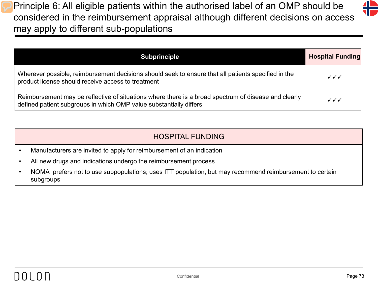Principle 6: All eligible patients within the authorised label of an OMP should be considered in the reimbursement appraisal although different decisions on access may apply to different sub-populations

| <b>Subprinciple</b>                                                                                                                                                        | <b>Hospital Funding</b>          |
|----------------------------------------------------------------------------------------------------------------------------------------------------------------------------|----------------------------------|
| Wherever possible, reimbursement decisions should seek to ensure that all patients specified in the<br>product license should receive access to treatment                  | $\checkmark\checkmark\checkmark$ |
| Reimbursement may be reflective of situations where there is a broad spectrum of disease and clearly<br>defined patient subgroups in which OMP value substantially differs | ✓✓✓                              |

| HOSPITAL FUNDING |  |  |
|------------------|--|--|
|                  |  |  |

- Manufacturers are invited to apply for reimbursement of an indication
- All new drugs and indications undergo the reimbursement process
- NOMA prefers not to use subpopulations; uses ITT population, but may recommend reimbursement to certain subgroups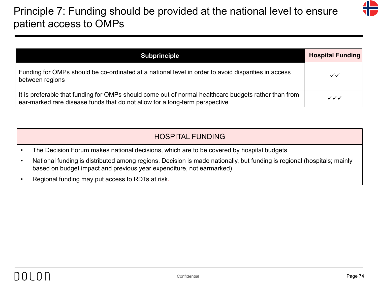# Principle 7: Funding should be provided at the national level to ensure patient access to OMPs

| <b>Subprinciple</b>                                                                                                                                                                 | <b>Hospital Funding</b>          |
|-------------------------------------------------------------------------------------------------------------------------------------------------------------------------------------|----------------------------------|
| Funding for OMPs should be co-ordinated at a national level in order to avoid disparities in access<br>between regions                                                              | ✓✓                               |
| It is preferable that funding for OMPs should come out of normal healthcare budgets rather than from<br>ear-marked rare disease funds that do not allow for a long-term perspective | $\checkmark\checkmark\checkmark$ |

|           | <b>HOSPITAL FUNDING</b>                                                                                                                                                                        |
|-----------|------------------------------------------------------------------------------------------------------------------------------------------------------------------------------------------------|
| $\bullet$ | The Decision Forum makes national decisions, which are to be covered by hospital budgets                                                                                                       |
|           | National funding is distributed among regions. Decision is made nationally, but funding is regional (hospitals; mainly<br>based on budget impact and previous year expenditure, not earmarked) |

• Regional funding may put access to RDTs at risk.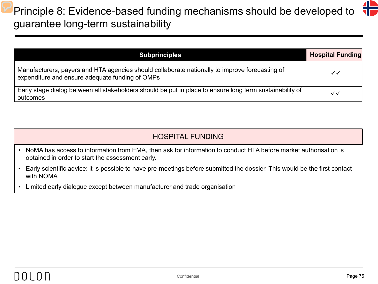# Principle 8: Evidence-based funding mechanisms should be developed to guarantee long-term sustainability

| <b>Subprinciples</b>                                                                                                                              | <b>Hospital Funding</b> |
|---------------------------------------------------------------------------------------------------------------------------------------------------|-------------------------|
| Manufacturers, payers and HTA agencies should collaborate nationally to improve forecasting of<br>expenditure and ensure adequate funding of OMPs | ✓✓                      |
| Early stage dialog between all stakeholders should be put in place to ensure long term sustainability of<br>outcomes                              | ✓✓                      |

- NoMA has access to information from EMA, then ask for information to conduct HTA before market authorisation is obtained in order to start the assessment early.
- Early scientific advice: it is possible to have pre-meetings before submitted the dossier. This would be the first contact with NOMA
- Limited early dialogue except between manufacturer and trade organisation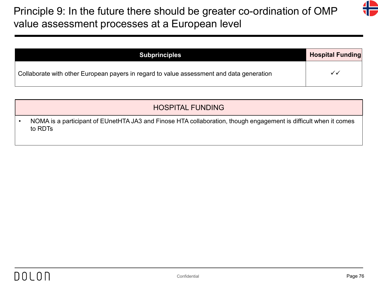# Principle 9: In the future there should be greater co-ordination of OMP value assessment processes at a European level

| <b>Subprinciples</b>                                                                     | <b>Hospital Funding</b> |
|------------------------------------------------------------------------------------------|-------------------------|
| Collaborate with other European payers in regard to value assessment and data generation |                         |

## HOSPITAL FUNDING

• NOMA is a participant of EUnetHTA JA3 and Finose HTA collaboration, though engagement is difficult when it comes to RDTs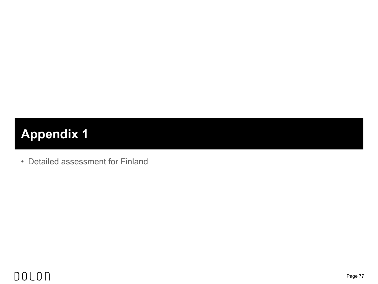# **Appendix 1**

• Detailed assessment for Finland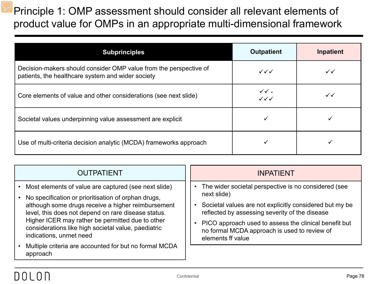Principle 1: OMP assessment should consider all relevant elements of product value for OMPs in an appropriate multi-dimensional framework

| <b>Subprinciples</b>                                                                                                   | <b>Outpatient</b>                                     | <b>Inpatient</b> |
|------------------------------------------------------------------------------------------------------------------------|-------------------------------------------------------|------------------|
| Decision-makers should consider OMP value from the perspective of<br>patients, the healthcare system and wider society | $\checkmark\checkmark$                                | $\checkmark$     |
| Core elements of value and other considerations (see next slide)                                                       | $\checkmark$ $\checkmark$ -<br>$\checkmark\checkmark$ | $\checkmark$     |
| Societal values underpinning value assessment are explicit                                                             |                                                       |                  |
| Use of multi-criteria decision analytic (MCDA) frameworks approach                                                     |                                                       |                  |

| <b>OUTPATIENT</b>                                                                                                                                                                                                                                                                                                                                                | <b>INPATIENT</b>                                                                                                                                                                                                                                                                                               |
|------------------------------------------------------------------------------------------------------------------------------------------------------------------------------------------------------------------------------------------------------------------------------------------------------------------------------------------------------------------|----------------------------------------------------------------------------------------------------------------------------------------------------------------------------------------------------------------------------------------------------------------------------------------------------------------|
| • Most elements of value are captured (see next slide)<br>No specification or prioritisation of orphan drugs,<br>although some drugs receive a higher reimbursement<br>level, this does not depend on rare disease status.<br>Higher ICER may rather be permitted due to other<br>considerations like high societal value, paediatric<br>indications, unmet need | The wider societal perspective is no considered (see<br>next slide)<br>Societal values are not explicitly considered but my be<br>reflected by assessing severity of the disease<br>PICO approach used to assess the clinical benefit but<br>no formal MCDA approach is used to review of<br>elements ff value |
| Multiple criteria are accounted for but no formal MCDA<br>approach                                                                                                                                                                                                                                                                                               |                                                                                                                                                                                                                                                                                                                |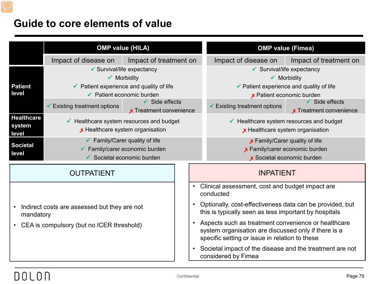## **Guide to core elements of value**

|                                                           | <b>OMP value (HILA)</b>                                                  |                                          |                                                                                                                                                                            |                                                                                                                   | <b>OMP value (Fimea)</b>                                                        |                                |
|-----------------------------------------------------------|--------------------------------------------------------------------------|------------------------------------------|----------------------------------------------------------------------------------------------------------------------------------------------------------------------------|-------------------------------------------------------------------------------------------------------------------|---------------------------------------------------------------------------------|--------------------------------|
|                                                           | Impact of treatment on<br>Impact of disease on                           |                                          | Impact of disease on                                                                                                                                                       | Impact of treatment on                                                                                            |                                                                                 |                                |
|                                                           | ✔ Survival/life expectancy                                               |                                          |                                                                                                                                                                            | $\checkmark$ Survival/life expectancy                                                                             |                                                                                 |                                |
|                                                           |                                                                          | $\checkmark$ Morbidity                   |                                                                                                                                                                            |                                                                                                                   |                                                                                 | $\checkmark$ Morbidity         |
| <b>Patient</b>                                            |                                                                          | ✔ Patient experience and quality of life |                                                                                                                                                                            |                                                                                                                   | ✔ Patient experience and quality of life                                        |                                |
| level                                                     |                                                                          | $\checkmark$ Patient economic burden     |                                                                                                                                                                            |                                                                                                                   | x Patient economic burden                                                       |                                |
|                                                           | $\checkmark$ Existing treatment options                                  | $\checkmark$ Side effects                |                                                                                                                                                                            | $\checkmark$ Existing treatment options                                                                           |                                                                                 | $\checkmark$ Side effects      |
|                                                           |                                                                          | <b>x</b> Treatment convenience           |                                                                                                                                                                            |                                                                                                                   |                                                                                 | <b>x</b> Treatment convenience |
|                                                           | <b>Healthcare</b><br>$\checkmark$ Healthcare system resources and budget |                                          |                                                                                                                                                                            | $\checkmark$ Healthcare system resources and budget                                                               |                                                                                 |                                |
| system<br>x Healthcare system organisation<br>level       |                                                                          |                                          |                                                                                                                                                                            |                                                                                                                   | x Healthcare system organisation                                                |                                |
|                                                           | $\checkmark$ Family/Carer quality of life                                |                                          |                                                                                                                                                                            | <b>x</b> Family/Carer quality of life                                                                             |                                                                                 |                                |
| <b>Societal</b>                                           | $\checkmark$ Family/carer economic burden                                |                                          | x Family/carer economic burden                                                                                                                                             |                                                                                                                   |                                                                                 |                                |
| level                                                     | ✔ Societal economic burden                                               |                                          | x Societal economic burden                                                                                                                                                 |                                                                                                                   |                                                                                 |                                |
| <b>OUTPATIENT</b>                                         |                                                                          |                                          | <b>INPATIENT</b>                                                                                                                                                           |                                                                                                                   |                                                                                 |                                |
|                                                           |                                                                          |                                          | Clinical assessment, cost and budget impact are<br>conducted                                                                                                               |                                                                                                                   |                                                                                 |                                |
| Indirect costs are assessed but they are not<br>mandatory |                                                                          |                                          |                                                                                                                                                                            | Optionally, cost-effectiveness data can be provided, but<br>this is typically seen as less important by hospitals |                                                                                 |                                |
| CEA is compulsory (but no ICER threshold)                 |                                                                          |                                          | Aspects such as treatment convenience or healthcare<br>$\bullet$<br>system organisation are discussed only if there is a<br>specific setting or issue in relation to these |                                                                                                                   |                                                                                 |                                |
|                                                           |                                                                          |                                          |                                                                                                                                                                            | $\bullet$                                                                                                         | Societal impact of the disease and the treatment are not<br>considered by Fimea |                                |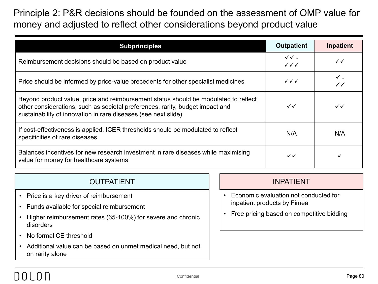## Principle 2: P&R decisions should be founded on the assessment of OMP value for money and adjusted to reflect other considerations beyond product value

| <b>Subprinciples</b>                                                                                                                                                                                                                   | <b>Outpatient</b>                                  | Inpatient    |
|----------------------------------------------------------------------------------------------------------------------------------------------------------------------------------------------------------------------------------------|----------------------------------------------------|--------------|
| Reimbursement decisions should be based on product value                                                                                                                                                                               | $\checkmark$ .<br>$\checkmark\checkmark\checkmark$ | $\checkmark$ |
| Price should be informed by price-value precedents for other specialist medicines                                                                                                                                                      | $\checkmark\checkmark$                             | $\checkmark$ |
| Beyond product value, price and reimbursement status should be modulated to reflect<br>other considerations, such as societal preferences, rarity, budget impact and<br>sustainability of innovation in rare diseases (see next slide) | $\checkmark$                                       | $\checkmark$ |
| If cost-effectiveness is applied, ICER thresholds should be modulated to reflect<br>specificities of rare diseases                                                                                                                     | N/A                                                | N/A          |
| Balances incentives for new research investment in rare diseases while maximising<br>value for money for healthcare systems                                                                                                            | $\checkmark$                                       |              |

|  | <b>OUTPATIENT</b> |  |
|--|-------------------|--|
|--|-------------------|--|

- Price is a key driver of reimbursement
- Funds available for special reimbursement
- Higher reimbursement rates (65-100%) for severe and chronic disorders
- No formal CE threshold
- Additional value can be based on unmet medical need, but not on rarity alone

### **INPATIENT**

- Economic evaluation not conducted for inpatient products by Fimea
- Free pricing based on competitive bidding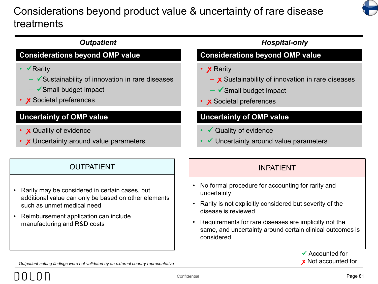# Considerations beyond product value & uncertainty of rare disease treatments



### **Uncertainty of OMP value** • **x** Quality of evidence • X Uncertainty around value parameters **Considerations beyond OMP value** • √Rarity  $\checkmark$  Sustainability of innovation in rare diseases  $\checkmark$ Small budget impact • X Societal preferences **Uncertainty of OMP value**  $\checkmark$  Quality of evidence Uncertainty around value parameters **Considerations beyond OMP value** • **x** Rarity - x Sustainability of innovation in rare diseases  $\checkmark$  Small budget impact • **ꭙ** Societal preferences **Outpatient Community Community Community Community Community Community Community Community Community Community**

## OUTPATIENT INPATIENT

- Rarity may be considered in certain cases, but additional value can only be based on other elements such as unmet medical need
- Reimbursement application can include manufacturing and R&D costs

- No formal procedure for accounting for rarity and uncertainty
- Rarity is not explicitly considered but severity of the disease is reviewed
- Requirements for rare diseases are implicitly not the same, and uncertainty around certain clinical outcomes is considered

 $\checkmark$  Accounted for **ꭙ** Not accounted for

*Outpatient setting findings were not validated by an external country representative*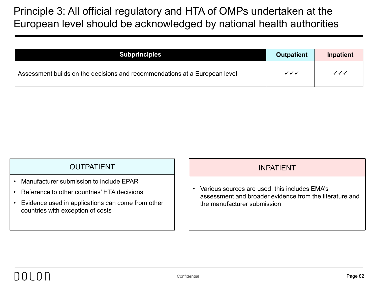## Principle 3: All official regulatory and HTA of OMPs undertaken at the European level should be acknowledged by national health authorities

| <b>Subprinciples</b>                                                       | <b>Outpatient</b>      | Inpatient                        |
|----------------------------------------------------------------------------|------------------------|----------------------------------|
| Assessment builds on the decisions and recommendations at a European level | $\checkmark\checkmark$ | $\checkmark\checkmark\checkmark$ |

## OUTPATIENT INPATIENT

- Manufacturer submission to include EPAR
- Reference to other countries' HTA decisions
- Evidence used in applications can come from other countries with exception of costs

• Various sources are used, this includes EMA's assessment and broader evidence from the literature and the manufacturer submission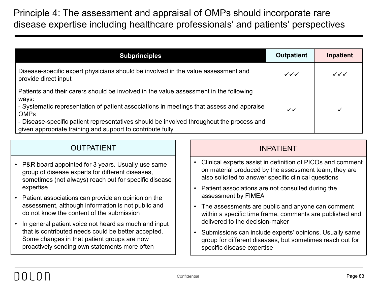Principle 4: The assessment and appraisal of OMPs should incorporate rare disease expertise including healthcare professionals' and patients' perspectives

| <b>Subprinciples</b>                                                                                                                                                                                                                                                                                                                                                | <b>Outpatient</b>                | Inpatient                        |
|---------------------------------------------------------------------------------------------------------------------------------------------------------------------------------------------------------------------------------------------------------------------------------------------------------------------------------------------------------------------|----------------------------------|----------------------------------|
| Disease-specific expert physicians should be involved in the value assessment and<br>provide direct input                                                                                                                                                                                                                                                           | $\checkmark\checkmark\checkmark$ | $\checkmark\checkmark\checkmark$ |
| Patients and their carers should be involved in the value assessment in the following<br>ways:<br>- Systematic representation of patient associations in meetings that assess and appraise<br><b>OMPs</b><br>- Disease-specific patient representatives should be involved throughout the process and<br>given appropriate training and support to contribute fully | $\checkmark$                     |                                  |

| Clinical experts assist in definition of PICOs and comment<br>$\bullet$<br>• P&R board appointed for 3 years. Usually use same<br>on material produced by the assessment team, they are<br>group of disease experts for different diseases,<br>also solicited to answer specific clinical questions<br>sometimes (not always) reach out for specific disease<br>expertise<br>Patient associations are not consulted during the<br>assessment by FIMEA<br>• Patient associations can provide an opinion on the<br>assessment, although information is not public and<br>The assessments are public and anyone can comment<br>$\bullet$<br>do not know the content of the submission<br>within a specific time frame, comments are published and<br>delivered to the decision-maker<br>• In general patient voice not heard as much and input<br>that is contributed needs could be better accepted.<br>Submissions can include experts' opinions. Usually same<br>Some changes in that patient groups are now<br>group for different diseases, but sometimes reach out for<br>proactively sending own statements more often<br>specific disease expertise | <b>OUTPATIENT</b> | <b>INPATIENT</b> |
|----------------------------------------------------------------------------------------------------------------------------------------------------------------------------------------------------------------------------------------------------------------------------------------------------------------------------------------------------------------------------------------------------------------------------------------------------------------------------------------------------------------------------------------------------------------------------------------------------------------------------------------------------------------------------------------------------------------------------------------------------------------------------------------------------------------------------------------------------------------------------------------------------------------------------------------------------------------------------------------------------------------------------------------------------------------------------------------------------------------------------------------------------------|-------------------|------------------|
|                                                                                                                                                                                                                                                                                                                                                                                                                                                                                                                                                                                                                                                                                                                                                                                                                                                                                                                                                                                                                                                                                                                                                          |                   |                  |
|                                                                                                                                                                                                                                                                                                                                                                                                                                                                                                                                                                                                                                                                                                                                                                                                                                                                                                                                                                                                                                                                                                                                                          |                   |                  |
|                                                                                                                                                                                                                                                                                                                                                                                                                                                                                                                                                                                                                                                                                                                                                                                                                                                                                                                                                                                                                                                                                                                                                          |                   |                  |
|                                                                                                                                                                                                                                                                                                                                                                                                                                                                                                                                                                                                                                                                                                                                                                                                                                                                                                                                                                                                                                                                                                                                                          |                   |                  |
|                                                                                                                                                                                                                                                                                                                                                                                                                                                                                                                                                                                                                                                                                                                                                                                                                                                                                                                                                                                                                                                                                                                                                          |                   |                  |
|                                                                                                                                                                                                                                                                                                                                                                                                                                                                                                                                                                                                                                                                                                                                                                                                                                                                                                                                                                                                                                                                                                                                                          |                   |                  |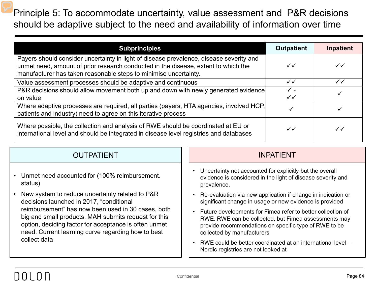Principle 5: To accommodate uncertainty, value assessment and P&R decisions should be adaptive subject to the need and availability of information over time

| <b>Subprinciples</b>                                                                                                                                                                                                                              | <b>Outpatient</b>    | Inpatient    |
|---------------------------------------------------------------------------------------------------------------------------------------------------------------------------------------------------------------------------------------------------|----------------------|--------------|
| Payers should consider uncertainty in light of disease prevalence, disease severity and<br>unmet need, amount of prior research conducted in the disease, extent to which the<br>manufacturer has taken reasonable steps to minimise uncertainty. | $\checkmark$         | $\checkmark$ |
| Value assessment processes should be adaptive and continuous                                                                                                                                                                                      | $\checkmark$         | $\checkmark$ |
| P&R decisions should allow movement both up and down with newly generated evidence<br>on value                                                                                                                                                    | $\checkmark$ .<br>✓✓ |              |
| Where adaptive processes are required, all parties (payers, HTA agencies, involved HCP,<br>patients and industry) need to agree on this iterative process                                                                                         |                      |              |
| Where possible, the collection and analysis of RWE should be coordinated at EU or<br>international level and should be integrated in disease level registries and databases                                                                       | $\checkmark$         | $\checkmark$ |

| <b>OUTPATIENT</b>                                                                                                                                                                                                                         | <b>INPATIENT</b>                                                                                                                                                                                           |
|-------------------------------------------------------------------------------------------------------------------------------------------------------------------------------------------------------------------------------------------|------------------------------------------------------------------------------------------------------------------------------------------------------------------------------------------------------------|
| • Unmet need accounted for (100% reimbursement.<br>status)                                                                                                                                                                                | Uncertainty not accounted for explicitly but the overall<br>$\bullet$<br>evidence is considered in the light of disease severity and<br>prevalence.                                                        |
| • New system to reduce uncertainty related to P&R<br>decisions launched in 2017, "conditional                                                                                                                                             | Re-evaluation via new application if change in indication or<br>significant change in usage or new evidence is provided                                                                                    |
| reimbursement" has now been used in 30 cases, both<br>big and small products. MAH submits request for this<br>option, deciding factor for acceptance is often unmet<br>need. Current learning curve regarding how to best<br>collect data | Future developments for Fimea refer to better collection of<br>RWE. RWE can be collected, but Fimea assessments may<br>provide recommendations on specific type of RWE to be<br>collected by manufacturers |
|                                                                                                                                                                                                                                           | RWE could be better coordinated at an international level –<br>Nordic registries are not looked at                                                                                                         |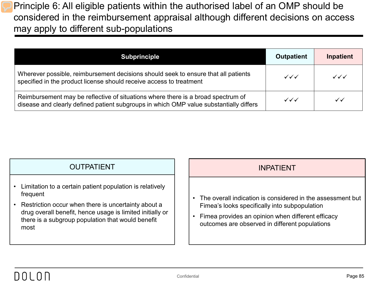Principle 6: All eligible patients within the authorised label of an OMP should be considered in the reimbursement appraisal although different decisions on access may apply to different sub-populations

| <b>Subprinciple</b>                                                                                                                                                        | <b>Outpatient</b>                | Inpatient                        |
|----------------------------------------------------------------------------------------------------------------------------------------------------------------------------|----------------------------------|----------------------------------|
| Wherever possible, reimbursement decisions should seek to ensure that all patients<br>specified in the product license should receive access to treatment                  | $\checkmark\checkmark\checkmark$ | $\checkmark\checkmark\checkmark$ |
| Reimbursement may be reflective of situations where there is a broad spectrum of<br>disease and clearly defined patient subgroups in which OMP value substantially differs | $\checkmark\checkmark\checkmark$ | $\checkmark$                     |

| <b>OUTPATIENT</b>                                                                                                                                                                                                                                         | <b>INPATIENT</b>                                                                                                                                                                                                                |
|-----------------------------------------------------------------------------------------------------------------------------------------------------------------------------------------------------------------------------------------------------------|---------------------------------------------------------------------------------------------------------------------------------------------------------------------------------------------------------------------------------|
| • Limitation to a certain patient population is relatively<br>frequent<br>• Restriction occur when there is uncertainty about a<br>drug overall benefit, hence usage is limited initially or<br>there is a subgroup population that would benefit<br>most | The overall indication is considered in the assessment but<br>$\bullet$<br>Fimea's looks specifically into subpopulation<br>Fimea provides an opinion when different efficacy<br>outcomes are observed in different populations |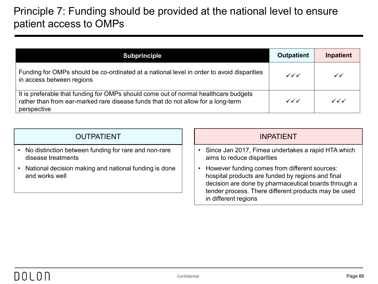## Principle 7: Funding should be provided at the national level to ensure patient access to OMPs

| <b>Subprinciple</b>                                                                                                                                                                    | <b>Outpatient</b>      | <b>Inpatient</b>                 |
|----------------------------------------------------------------------------------------------------------------------------------------------------------------------------------------|------------------------|----------------------------------|
| Funding for OMPs should be co-ordinated at a national level in order to avoid disparities<br>in access between regions                                                                 | $\checkmark\checkmark$ | $\checkmark$                     |
| It is preferable that funding for OMPs should come out of normal healthcare budgets<br>rather than from ear-marked rare disease funds that do not allow for a long-term<br>perspective | $\checkmark\checkmark$ | $\checkmark\checkmark\checkmark$ |

|  | <b>OUTPATIENT</b> |
|--|-------------------|
|  |                   |
|  |                   |

- No distinction between funding for rare and non-rare disease treatments
- National decision making and national funding is done and works well

## **INPATIENT**

- Since Jan 2017, Fimea undertakes a rapid HTA which aims to reduce disparities
- However funding comes from different sources: hospital products are funded by regions and final decision are done by pharmaceutical boards through a tender process. There different products may be used in different regions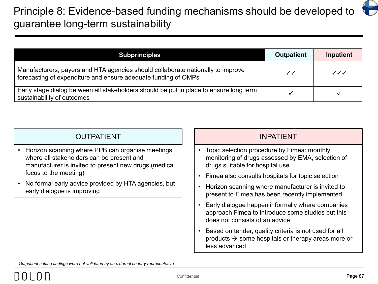# Principle 8: Evidence-based funding mechanisms should be developed to guarantee long-term sustainability

| <b>Subprinciples</b>                                                                                                                              | <b>Outpatient</b> | <b>Inpatient</b>       |
|---------------------------------------------------------------------------------------------------------------------------------------------------|-------------------|------------------------|
| Manufacturers, payers and HTA agencies should collaborate nationally to improve<br>forecasting of expenditure and ensure adequate funding of OMPs | $\checkmark$      | $\checkmark\checkmark$ |
| Early stage dialog between all stakeholders should be put in place to ensure long term<br>sustainability of outcomes                              |                   |                        |

| <b>OUTPATIENT</b>                                                                                                                                                                                                                                                      | <b>INPATIENT</b>                                                                                                                         |  |
|------------------------------------------------------------------------------------------------------------------------------------------------------------------------------------------------------------------------------------------------------------------------|------------------------------------------------------------------------------------------------------------------------------------------|--|
| Horizon scanning where PPB can organise meetings<br>where all stakeholders can be present and<br>manufacturer is invited to present new drugs (medical<br>focus to the meeting)<br>No formal early advice provided by HTA agencies, but<br>early dialogue is improving | • Topic selection procedure by Fimea: monthly<br>monitoring of drugs assessed by EMA, selection of<br>drugs suitable for hospital use    |  |
|                                                                                                                                                                                                                                                                        | • Fimea also consults hospitals for topic selection                                                                                      |  |
|                                                                                                                                                                                                                                                                        | • Horizon scanning where manufacturer is invited to<br>present to Fimea has been recently implemented                                    |  |
|                                                                                                                                                                                                                                                                        | Early dialogue happen informally where companies<br>approach Fimea to introduce some studies but this<br>does not consists of an advice  |  |
|                                                                                                                                                                                                                                                                        | Based on tender, quality criteria is not used for all<br>products $\rightarrow$ some hospitals or therapy areas more or<br>less advanced |  |

*Outpatient setting findings were not validated by an external country representative*

⊖